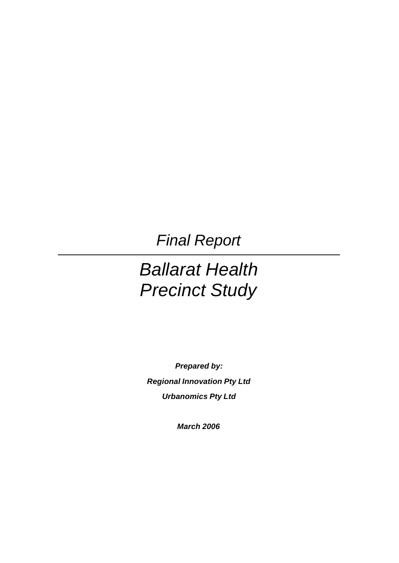*Final Report* 

# *Ballarat Health Precinct Study*

*Prepared by: Regional Innovation Pty Ltd Urbanomics Pty Ltd*

*March 2006*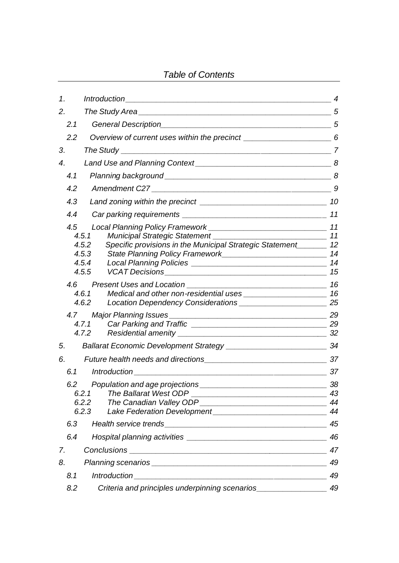## *Table of Contents*

| 1.  |                                                                                                                        |                |
|-----|------------------------------------------------------------------------------------------------------------------------|----------------|
| 2.  |                                                                                                                        |                |
| 2.1 |                                                                                                                        |                |
| 2.2 | Overview of current uses within the precinct ___________________________________6                                      |                |
| 3.  |                                                                                                                        |                |
| 4.  |                                                                                                                        |                |
| 4.1 |                                                                                                                        |                |
| 4.2 |                                                                                                                        | 9              |
| 4.3 |                                                                                                                        |                |
| 4.4 |                                                                                                                        | 11             |
| 4.5 | 4.5.1<br>Specific provisions in the Municipal Strategic Statement 12<br>4.5.2<br>4.5.3                                 |                |
|     | 4.5.4                                                                                                                  |                |
|     | 4.5.5                                                                                                                  | 15             |
| 4.6 | 4.6.1<br>4.6.2                                                                                                         | 16             |
|     | 4.7.1<br>4.7.2                                                                                                         |                |
| 5.  |                                                                                                                        |                |
| 6.  |                                                                                                                        |                |
| 6.1 |                                                                                                                        | 37             |
|     | The Ballarat West ODP<br>6.2.1<br><u> 1989 - Johann John Stone, mensk politik fotograf (d. 1989)</u><br>6.2.2<br>6.2.3 | 43<br>44<br>44 |
| 6.3 |                                                                                                                        | 45             |
| 6.4 |                                                                                                                        | 46             |
| 7.  |                                                                                                                        | 47             |
| 8.  |                                                                                                                        | 49             |
| 8.1 |                                                                                                                        | 49             |
| 8.2 | Criteria and principles underpinning scenarios_                                                                        | 49             |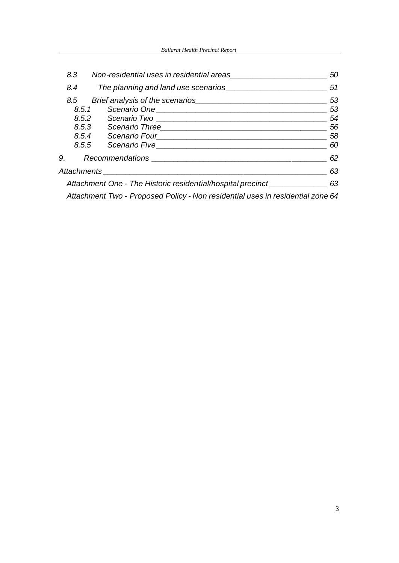| 8.3 | Non-residential uses in residential areas                                      | 50 |
|-----|--------------------------------------------------------------------------------|----|
| 8.4 |                                                                                | 51 |
| 8.5 |                                                                                | 53 |
|     | 8.5.1                                                                          | 53 |
|     |                                                                                | 54 |
|     |                                                                                | 56 |
|     | 8.5.4                                                                          | 58 |
|     |                                                                                | 60 |
|     | 9. Recommendations __________                                                  | 62 |
|     | Attachments __________________________                                         | 63 |
|     | Attachment One - The Historic residential/hospital precinct ______________     | 63 |
|     | Attachment Two - Proposed Policy - Non residential uses in residential zone 64 |    |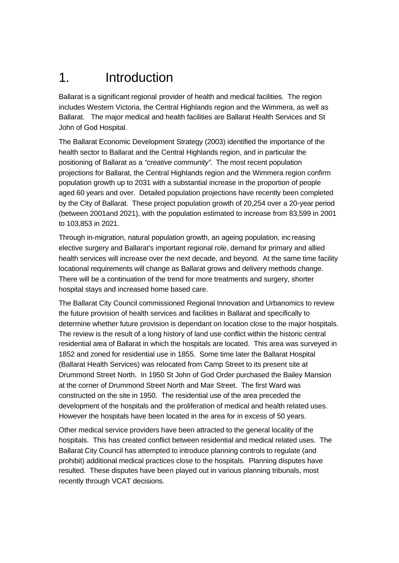# 1. Introduction

Ballarat is a significant regional provider of health and medical facilities. The region includes Western Victoria, the Central Highlands region and the Wimmera, as well as Ballarat. The major medical and health facilities are Ballarat Health Services and St John of God Hospital.

The Ballarat Economic Development Strategy (2003) identified the importance of the health sector to Ballarat and the Central Highlands region, and in particular the positioning of Ballarat as a *"creative community"*. The most recent population projections for Ballarat, the Central Highlands region and the Wimmera region confirm population growth up to 2031 with a substantial increase in the proportion of people aged 60 years and over. Detailed population projections have recently been completed by the City of Ballarat. These project population growth of 20,254 over a 20-year period (between 2001and 2021), with the population estimated to increase from 83,599 in 2001 to 103,853 in 2021.

Through in-migration, natural population growth, an ageing population, increasing elective surgery and Ballarat's important regional role, demand for primary and allied health services will increase over the next decade, and beyond. At the same time facility locational requirements will change as Ballarat grows and delivery methods change. There will be a continuation of the trend for more treatments and surgery, shorter hospital stays and increased home based care.

The Ballarat City Council commissioned Regional Innovation and Urbanomics to review the future provision of health services and facilities in Ballarat and specifically to determine whether future provision is dependant on location close to the major hospitals. The review is the result of a long history of land use conflict within the historic central residential area of Ballarat in which the hospitals are located. This area was surveyed in 1852 and zoned for residential use in 1855. Some time later the Ballarat Hospital (Ballarat Health Services) was relocated from Camp Street to its present site at Drummond Street North. In 1950 St John of God Order purchased the Bailey Mansion at the corner of Drummond Street North and Mair Street. The first Ward was constructed on the site in 1950. The residential use of the area preceded the development of the hospitals and the proliferation of medical and health related uses. However the hospitals have been located in the area for in excess of 50 years.

Other medical service providers have been attracted to the general locality of the hospitals. This has created conflict between residential and medical related uses. The Ballarat City Council has attempted to introduce planning controls to regulate (and prohibit) additional medical practices close to the hospitals. Planning disputes have resulted. These disputes have been played out in various planning tribunals, most recently through VCAT decisions.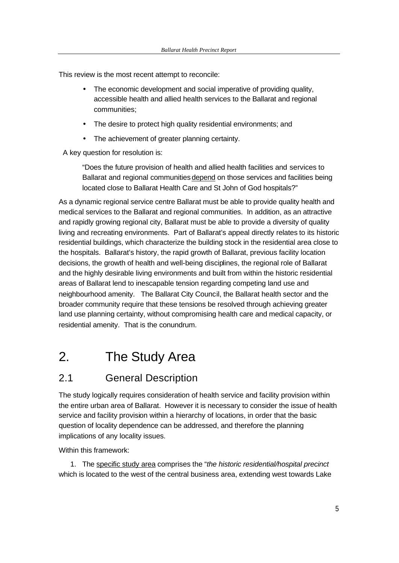This review is the most recent attempt to reconcile:

- The economic development and social imperative of providing quality, accessible health and allied health services to the Ballarat and regional communities;
- The desire to protect high quality residential environments; and
- The achievement of greater planning certainty.

A key question for resolution is:

"Does the future provision of health and allied health facilities and services to Ballarat and regional communities depend on those services and facilities being located close to Ballarat Health Care and St John of God hospitals?"

As a dynamic regional service centre Ballarat must be able to provide quality health and medical services to the Ballarat and regional communities. In addition, as an attractive and rapidly growing regional city, Ballarat must be able to provide a diversity of quality living and recreating environments. Part of Ballarat's appeal directly relates to its historic residential buildings, which characterize the building stock in the residential area close to the hospitals. Ballarat's history, the rapid growth of Ballarat, previous facility location decisions, the growth of health and well-being disciplines, the regional role of Ballarat and the highly desirable living environments and built from within the historic residential areas of Ballarat lend to inescapable tension regarding competing land use and neighbourhood amenity. The Ballarat City Council, the Ballarat health sector and the broader community require that these tensions be resolved through achieving greater land use planning certainty, without compromising health care and medical capacity, or residential amenity. That is the conundrum.

## 2. The Study Area

## 2.1 General Description

The study logically requires consideration of health service and facility provision within the entire urban area of Ballarat. However it is necessary to consider the issue of health service and facility provision within a hierarchy of locations, in order that the basic question of locality dependence can be addressed, and therefore the planning implications of any locality issues.

Within this framework:

1. The specific study area comprises the "*the historic residential/hospital precinct*  which is located to the west of the central business area, extending west towards Lake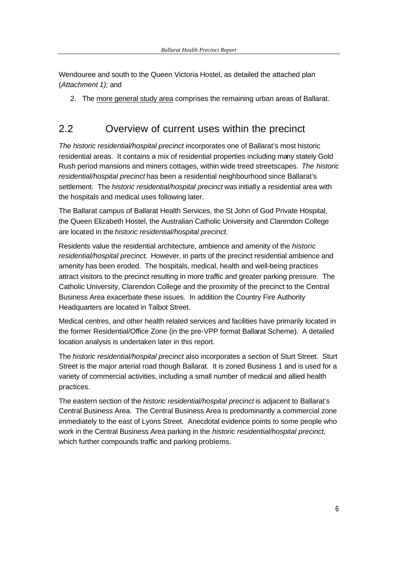Wendouree and south to the Queen Victoria Hostel, as detailed the attached plan (*Attachment 1);* and

2. The more general study area comprises the remaining urban areas of Ballarat.

## 2.2 Overview of current uses within the precinct

*The historic residential/hospital precinct* incorporates one of Ballarat's most historic residential areas. It contains a mix of residential properties including many stately Gold Rush period mansions and miners cottages, within wide treed streetscapes. *The historic residential/hospital precinct* has been a residential neighbourhood since Ballarat's settlement. The *historic residential/hospital precinct* was initially a residential area with the hospitals and medical uses following later.

The Ballarat campus of Ballarat Health Services, the St John of God Private Hospital, the Queen Elizabeth Hostel, the Australian Catholic University and Clarendon College are located in the *historic residential/hospital precinct.*

Residents value the residential architecture, ambience and amenity of the *historic residential/hospital precinct*. However, in parts of the precinct residential ambience and amenity has been eroded. The hospitals, medical, health and well-being practices attract visitors to the precinct resulting in more traffic and greater parking pressure. The Catholic University, Clarendon College and the proximity of the precinct to the Central Business Area exacerbate these issues. In addition the Country Fire Authority Headquarters are located in Talbot Street.

Medical centres, and other health related services and facilities have primarily located in the former Residential/Office Zone (in the pre-VPP format Ballarat Scheme). A detailed location analysis is undertaken later in this report.

The *historic residential/hospital precinct* also incorporates a section of Sturt Street. Sturt Street is the major arterial road though Ballarat. It is zoned Business 1 and is used for a variety of commercial activities, including a small number of medical and allied health practices.

The eastern section of the *historic residential/hospital precinct* is adjacent to Ballarat's Central Business Area. The Central Business Area is predominantly a commercial zone immediately to the east of Lyons Street. Anecdotal evidence points to some people who work in the Central Business Area parking in the *historic residential/hospital precinct,*  which further compounds traffic and parking problems.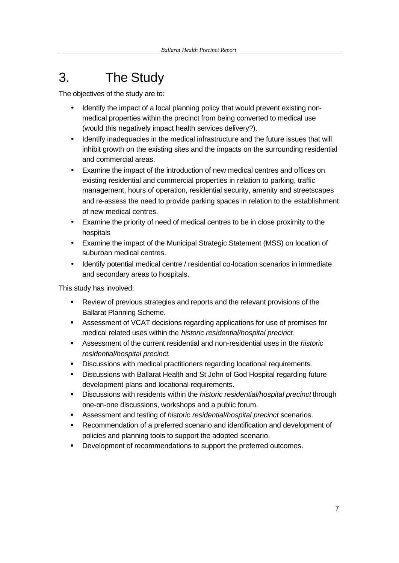# 3. The Study

The objectives of the study are to:

- Identify the impact of a local planning policy that would prevent existing nonmedical properties within the precinct from being converted to medical use (would this negatively impact health services delivery?).
- Identify inadequacies in the medical infrastructure and the future issues that will inhibit growth on the existing sites and the impacts on the surrounding residential and commercial areas.
- Examine the impact of the introduction of new medical centres and offices on existing residential and commercial properties in relation to parking, traffic management, hours of operation, residential security, amenity and streetscapes and re-assess the need to provide parking spaces in relation to the establishment of new medical centres.
- Examine the priority of need of medical centres to be in close proximity to the hospitals
- Examine the impact of the Municipal Strategic Statement (MSS) on location of suburban medical centres.
- Identify potential medical centre / residential co-location scenarios in immediate and secondary areas to hospitals.

This study has involved:

- **•** Review of previous strategies and reports and the relevant provisions of the Ballarat Planning Scheme.
- **BED Assessment of VCAT decisions regarding applications for use of premises for** medical related uses within the *historic residential/hospital precinct*.
- ß Assessment of the current residential and non-residential uses in the *historic residential/hospital precinct.*
- **BED Discussions with medical practitioners regarding locational requirements.**
- **EXED** Discussions with Ballarat Health and St John of God Hospital regarding future development plans and locational requirements.
- **EXED** Discussions with residents within the *historic residential/hospital precinct* through one-on-one discussions, workshops and a public forum.
- **B** Assessment and testing of *historic residential/hospital precinct* scenarios.
- **Recommendation of a preferred scenario and identification and development of** policies and planning tools to support the adopted scenario.
- **•** Development of recommendations to support the preferred outcomes.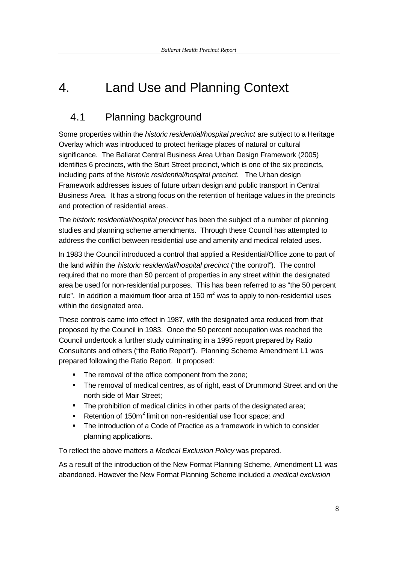# 4. Land Use and Planning Context

## 4.1 Planning background

Some properties within the *historic residential/hospital precinct* are subject to a Heritage Overlay which was introduced to protect heritage places of natural or cultural significance. The Ballarat Central Business Area Urban Design Framework (2005) identifies 6 precincts, with the Sturt Street precinct, which is one of the six precincts, including parts of the *historic residential/hospital precinct.* The Urban design Framework addresses issues of future urban design and public transport in Central Business Area. It has a strong focus on the retention of heritage values in the precincts and protection of residential areas.

The *historic residential/hospital precinct* has been the subject of a number of planning studies and planning scheme amendments. Through these Council has attempted to address the conflict between residential use and amenity and medical related uses.

In 1983 the Council introduced a control that applied a Residential/Office zone to part of the land within the *historic residential/hospital precinct* ("the control"). The control required that no more than 50 percent of properties in any street within the designated area be used for non-residential purposes. This has been referred to as "the 50 percent rule". In addition a maximum floor area of 150  $m^2$  was to apply to non-residential uses within the designated area.

These controls came into effect in 1987, with the designated area reduced from that proposed by the Council in 1983. Once the 50 percent occupation was reached the Council undertook a further study culminating in a 1995 report prepared by Ratio Consultants and others ("the Ratio Report"). Planning Scheme Amendment L1 was prepared following the Ratio Report. It proposed:

- The removal of the office component from the zone;
- The removal of medical centres, as of right, east of Drummond Street and on the north side of Mair Street;
- The prohibition of medical clinics in other parts of the designated area;
- Retention of 150 $m^2$  limit on non-residential use floor space; and
- The introduction of a Code of Practice as a framework in which to consider planning applications.

To reflect the above matters a *Medical Exclusion Policy* was prepared.

As a result of the introduction of the New Format Planning Scheme, Amendment L1 was abandoned. However the New Format Planning Scheme included a *medical exclusion*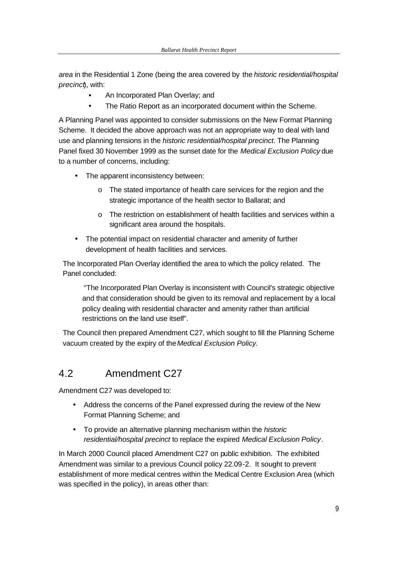*area* in the Residential 1 Zone (being the area covered by the *historic residential/hospital precinct*), with:

- An Incorporated Plan Overlay; and
- The Ratio Report as an incorporated document within the Scheme.

A Planning Panel was appointed to consider submissions on the New Format Planning Scheme. It decided the above approach was not an appropriate way to deal with land use and planning tensions in the *historic residential/hospital precinct*. The Planning Panel fixed 30 November 1999 as the sunset date for the *Medical Exclusion Policy* due to a number of concerns, including:

- The apparent inconsistency between:
	- o The stated importance of health care services for the region and the strategic importance of the health sector to Ballarat; and
	- o The restriction on establishment of health facilities and services within a significant area around the hospitals.
- The potential impact on residential character and amenity of further development of health facilities and services.

The Incorporated Plan Overlay identified the area to which the policy related. The Panel concluded:

"The Incorporated Plan Overlay is inconsistent with Council's strategic objective and that consideration should be given to its removal and replacement by a local policy dealing with residential character and amenity rather than artificial restrictions on the land use itself".

The Council then prepared Amendment C27, which sought to fill the Planning Scheme vacuum created by the expiry of the *Medical Exclusion Policy.*

## 4.2 Amendment C27

Amendment C27 was developed to:

- Address the concerns of the Panel expressed during the review of the New Format Planning Scheme; and
- To provide an alternative planning mechanism within the *historic residential/hospital precinct* to replace the expired *Medical Exclusion Policy*.

In March 2000 Council placed Amendment C27 on public exhibition. The exhibited Amendment was similar to a previous Council policy 22.09-2. It sought to prevent establishment of more medical centres within the Medical Centre Exclusion Area (which was specified in the policy), in areas other than: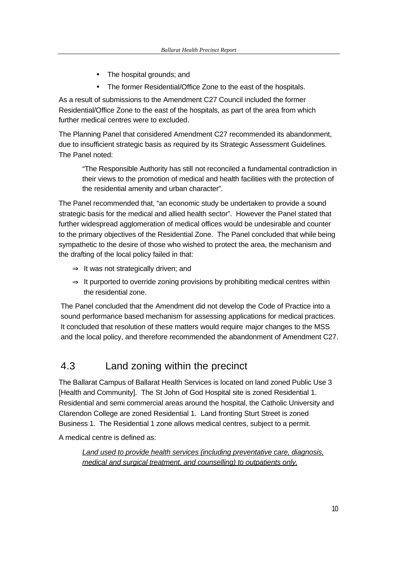- The hospital grounds; and
- The former Residential/Office Zone to the east of the hospitals.

As a result of submissions to the Amendment C27 Council included the former Residential/Office Zone to the east of the hospitals, as part of the area from which further medical centres were to excluded.

The Planning Panel that considered Amendment C27 recommended its abandonment, due to insufficient strategic basis as required by its Strategic Assessment Guidelines. The Panel noted:

"The Responsible Authority has still not reconciled a fundamental contradiction in their views to the promotion of medical and health facilities with the protection of the residential amenity and urban character".

The Panel recommended that, "an economic study be undertaken to provide a sound strategic basis for the medical and allied health sector". However the Panel stated that further widespread agglomeration of medical offices would be undesirable and counter to the primary objectives of the Residential Zone. The Panel concluded that while being sympathetic to the desire of those who wished to protect the area, the mechanism and the drafting of the local policy failed in that:

- ⇒ It was not strategically driven; and
- $\Rightarrow$  It purported to override zoning provisions by prohibiting medical centres within the residential zone.

The Panel concluded that the Amendment did not develop the Code of Practice into a sound performance based mechanism for assessing applications for medical practices. It concluded that resolution of these matters would require major changes to the MSS and the local policy, and therefore recommended the abandonment of Amendment C27.

## 4.3 Land zoning within the precinct

The Ballarat Campus of Ballarat Health Services is located on land zoned Public Use 3 [Health and Community]. The St John of God Hospital site is zoned Residential 1. Residential and semi commercial areas around the hospital, the Catholic University and Clarendon College are zoned Residential 1. Land fronting Sturt Street is zoned Business 1. The Residential 1 zone allows medical centres, subject to a permit.

A medical centre is defined as:

*Land used to provide health services (including preventative care, diagnosis, medical and surgical treatment, and counselling) to outpatients only.*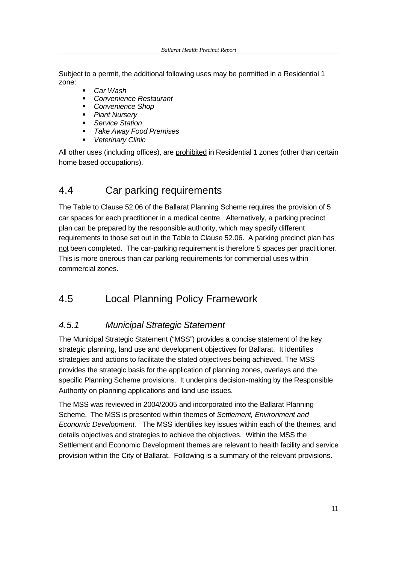Subject to a permit, the additional following uses may be permitted in a Residential 1 zone:

- ß *Car Wash*
- ß *Convenience Restaurant*
- ß *Convenience Shop*
- ß *Plant Nursery*
- ß *Service Station*
- ß *Take Away Food Premises*
- ß *Veterinary Clinic*

All other uses (including offices), are prohibited in Residential 1 zones (other than certain home based occupations).

## 4.4 Car parking requirements

The Table to Clause 52.06 of the Ballarat Planning Scheme requires the provision of 5 car spaces for each practitioner in a medical centre. Alternatively, a parking precinct plan can be prepared by the responsible authority, which may specify different requirements to those set out in the Table to Clause 52.06. A parking precinct plan has not been completed. The car-parking requirement is therefore 5 spaces per practitioner. This is more onerous than car parking requirements for commercial uses within commercial zones.

## 4.5 Local Planning Policy Framework

## *4.5.1 Municipal Strategic Statement*

The Municipal Strategic Statement ("MSS") provides a concise statement of the key strategic planning, land use and development objectives for Ballarat. It identifies strategies and actions to facilitate the stated objectives being achieved. The MSS provides the strategic basis for the application of planning zones, overlays and the specific Planning Scheme provisions. It underpins decision-making by the Responsible Authority on planning applications and land use issues.

The MSS was reviewed in 2004/2005 and incorporated into the Ballarat Planning Scheme. The MSS is presented within themes of *Settlement, Environment and Economic Development.* The MSS identifies key issues within each of the themes, and details objectives and strategies to achieve the objectives. Within the MSS the Settlement and Economic Development themes are relevant to health facility and service provision within the City of Ballarat. Following is a summary of the relevant provisions.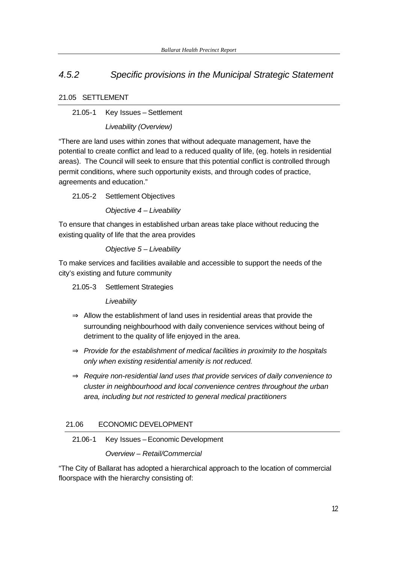## *4.5.2 Specific provisions in the Municipal Strategic Statement*

#### 21.05 SETTLEMENT

21.05-1 Key Issues – Settlement

*Liveability (Overview)*

"There are land uses within zones that without adequate management, have the potential to create conflict and lead to a reduced quality of life, (eg. hotels in residential areas). The Council will seek to ensure that this potential conflict is controlled through permit conditions, where such opportunity exists, and through codes of practice, agreements and education."

21.05-2 Settlement Objectives

*Objective 4 – Liveability* 

To ensure that changes in established urban areas take place without reducing the existing quality of life that the area provides

*Objective 5 – Liveability* 

To make services and facilities available and accessible to support the needs of the city's existing and future community

21.05-3 Settlement Strategies

*Liveability* 

- $\Rightarrow$  Allow the establishment of land uses in residential areas that provide the surrounding neighbourhood with daily convenience services without being of detriment to the quality of life enjoyed in the area.
- ⇒ *Provide for the establishment of medical facilities in proximity to the hospitals only when existing residential amenity is not reduced.*
- ⇒ *Require non-residential land uses that provide services of daily convenience to cluster in neighbourhood and local convenience centres throughout the urban area, including but not restricted to general medical practitioners*

### 21.06 ECONOMIC DEVELOPMENT

21.06-1 Key Issues – Economic Development

*Overview – Retail/Commercial* 

"The City of Ballarat has adopted a hierarchical approach to the location of commercial floorspace with the hierarchy consisting of: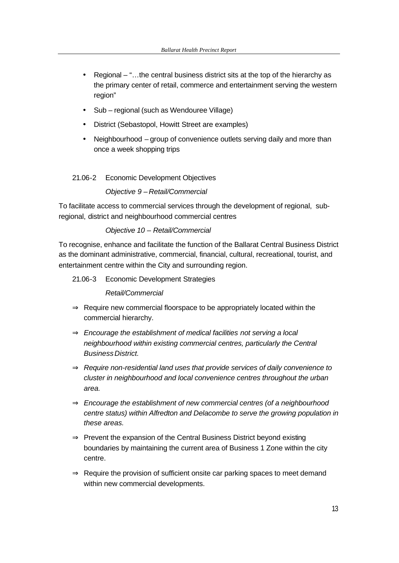- Regional "...the central business district sits at the top of the hierarchy as the primary center of retail, commerce and entertainment serving the western region"
- Sub regional (such as Wendouree Village)
- District (Sebastopol, Howitt Street are examples)
- Neighbourhood group of convenience outlets serving daily and more than once a week shopping trips

#### 21.06-2 Economic Development Objectives

#### *Objective 9 – Retail/Commercial*

To facilitate access to commercial services through the development of regional, subregional, district and neighbourhood commercial centres

#### *Objective 10 – Retail/Commercial*

To recognise, enhance and facilitate the function of the Ballarat Central Business District as the dominant administrative, commercial, financial, cultural, recreational, tourist, and entertainment centre within the City and surrounding region.

21.06-3 Economic Development Strategies

*Retail/Commercial*

- $\Rightarrow$  Require new commercial floorspace to be appropriately located within the commercial hierarchy.
- ⇒ *Encourage the establishment of medical facilities not serving a local neighbourhood within existing commercial centres, particularly the Central Business District.*
- ⇒ *Require non-residential land uses that provide services of daily convenience to cluster in neighbourhood and local convenience centres throughout the urban area.*
- ⇒ *Encourage the establishment of new commercial centres (of a neighbourhood centre status) within Alfredton and Delacombe to serve the growing population in these areas.*
- ⇒ Prevent the expansion of the Central Business District beyond existing boundaries by maintaining the current area of Business 1 Zone within the city centre.
- $\Rightarrow$  Require the provision of sufficient onsite car parking spaces to meet demand within new commercial developments.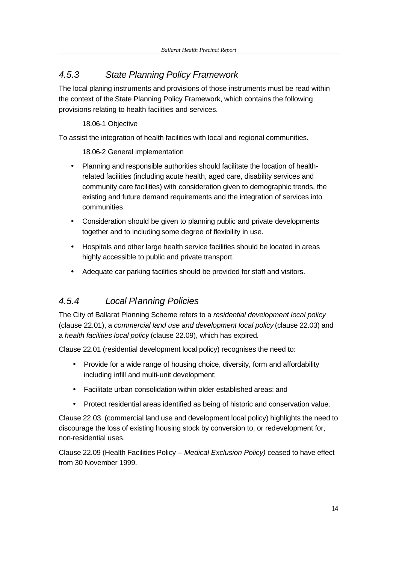## *4.5.3 State Planning Policy Framework*

The local planing instruments and provisions of those instruments must be read within the context of the State Planning Policy Framework, which contains the following provisions relating to health facilities and services.

18.06-1 Objective

To assist the integration of health facilities with local and regional communities.

18.06-2 General implementation

- Planning and responsible authorities should facilitate the location of healthrelated facilities (including acute health, aged care, disability services and community care facilities) with consideration given to demographic trends, the existing and future demand requirements and the integration of services into communities.
- Consideration should be given to planning public and private developments together and to including some degree of flexibility in use.
- Hospitals and other large health service facilities should be located in areas highly accessible to public and private transport.
- Adequate car parking facilities should be provided for staff and visitors.

## *4.5.4 Local Planning Policies*

The City of Ballarat Planning Scheme refers to a *residential development local policy* (clause 22.01), a *commercial land use and development local policy* (clause 22.03) and a *health facilities local policy* (clause 22.09), which has expired.

Clause 22.01 (residential development local policy) recognises the need to:

- Provide for a wide range of housing choice, diversity, form and affordability including infill and multi-unit development;
- Facilitate urban consolidation within older established areas; and
- Protect residential areas identified as being of historic and conservation value.

Clause 22.03 (commercial land use and development local policy) highlights the need to discourage the loss of existing housing stock by conversion to, or redevelopment for, non-residential uses.

Clause 22.09 (Health Facilities Policy – *Medical Exclusion Policy)* ceased to have effect from 30 November 1999.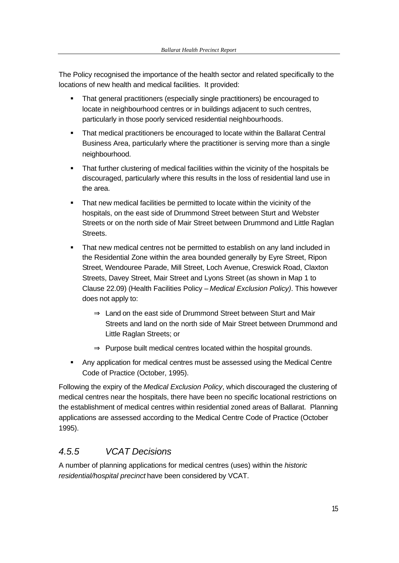The Policy recognised the importance of the health sector and related specifically to the locations of new health and medical facilities. It provided:

- That general practitioners (especially single practitioners) be encouraged to locate in neighbourhood centres or in buildings adjacent to such centres, particularly in those poorly serviced residential neighbourhoods.
- **That medical practitioners be encouraged to locate within the Ballarat Central** Business Area, particularly where the practitioner is serving more than a single neighbourhood.
- That further clustering of medical facilities within the vicinity of the hospitals be discouraged, particularly where this results in the loss of residential land use in the area.
- That new medical facilities be permitted to locate within the vicinity of the hospitals, on the east side of Drummond Street between Sturt and Webster Streets or on the north side of Mair Street between Drummond and Little Raglan Streets.
- **That new medical centres not be permitted to establish on any land included in** the Residential Zone within the area bounded generally by Eyre Street, Ripon Street, Wendouree Parade, Mill Street, Loch Avenue, Creswick Road, Claxton Streets, Davey Street, Mair Street and Lyons Street (as shown in Map 1 to Clause 22.09) (Health Facilities Policy – *Medical Exclusion Policy)*. This however does not apply to:
	- ⇒ Land on the east side of Drummond Street between Sturt and Mair Streets and land on the north side of Mair Street between Drummond and Little Raglan Streets; or
	- $\Rightarrow$  Purpose built medical centres located within the hospital grounds.
- Any application for medical centres must be assessed using the Medical Centre Code of Practice (October, 1995).

Following the expiry of the *Medical Exclusion Policy*, which discouraged the clustering of medical centres near the hospitals, there have been no specific locational restrictions on the establishment of medical centres within residential zoned areas of Ballarat. Planning applications are assessed according to the Medical Centre Code of Practice (October 1995).

## *4.5.5 VCAT Decisions*

A number of planning applications for medical centres (uses) within the *historic residential/hospital precinct* have been considered by VCAT.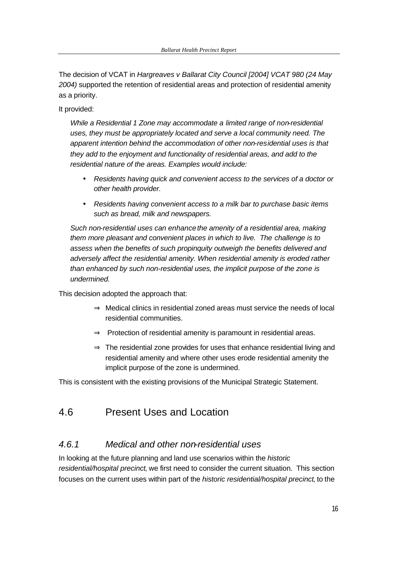The decision of VCAT in *Hargreaves v Ballarat City Council [2004] VCAT 980 (24 May 2004)* supported the retention of residential areas and protection of residential amenity as a priority.

It provided:

*While a Residential 1 Zone may accommodate a limited range of non-residential uses, they must be appropriately located and serve a local community need. The apparent intention behind the accommodation of other non-residential uses is that they add to the enjoyment and functionality of residential areas, and add to the residential nature of the areas. Examples would include:*

- *Residents having quick and convenient access to the services of a doctor or other health provider.*
- *Residents having convenient access to a milk bar to purchase basic items such as bread, milk and newspapers.*

*Such non-residential uses can enhance the amenity of a residential area, making them more pleasant and convenient places in which to live. The challenge is to assess when the benefits of such propinquity outweigh the benefits delivered and adversely affect the residential amenity. When residential amenity is eroded rather than enhanced by such non-residential uses, the implicit purpose of the zone is undermined.* 

This decision adopted the approach that:

- ⇒ Medical clinics in residential zoned areas must service the needs of local residential communities.
- ⇒ Protection of residential amenity is paramount in residential areas.
- $\Rightarrow$  The residential zone provides for uses that enhance residential living and residential amenity and where other uses erode residential amenity the implicit purpose of the zone is undermined.

This is consistent with the existing provisions of the Municipal Strategic Statement.

## 4.6 Present Uses and Location

### *4.6.1 Medical and other non-residential uses*

In looking at the future planning and land use scenarios within the *historic residential/hospital precinct*, we first need to consider the current situation. This section focuses on the current uses within part of the *historic residential/hospital precinct*, to the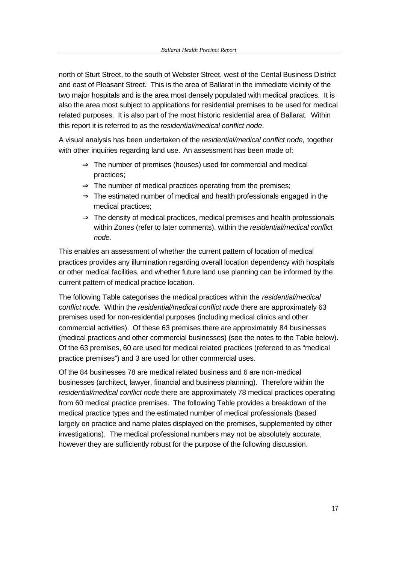north of Sturt Street, to the south of Webster Street, west of the Cental Business District and east of Pleasant Street. This is the area of Ballarat in the immediate vicinity of the two major hospitals and is the area most densely populated with medical practices. It is also the area most subject to applications for residential premises to be used for medical related purposes. It is also part of the most historic residential area of Ballarat. Within this report it is referred to as the *residential/medical conflict node*.

A visual analysis has been undertaken of the *residential/medical conflict node,* together with other inquiries regarding land use. An assessment has been made of:

- $\Rightarrow$  The number of premises (houses) used for commercial and medical practices;
- $\Rightarrow$  The number of medical practices operating from the premises;
- $\Rightarrow$  The estimated number of medical and health professionals engaged in the medical practices;
- $\Rightarrow$  The density of medical practices, medical premises and health professionals within Zones (refer to later comments), within the *residential/medical conflict node.*

This enables an assessment of whether the current pattern of location of medical practices provides any illumination regarding overall location dependency with hospitals or other medical facilities, and whether future land use planning can be informed by the current pattern of medical practice location.

The following Table categorises the medical practices within the *residential/medical conflict node*. Within the *residential/medical conflict node* there are approximately 63 premises used for non-residential purposes (including medical clinics and other commercial activities). Of these 63 premises there are approximately 84 businesses (medical practices and other commercial businesses) (see the notes to the Table below). Of the 63 premises, 60 are used for medical related practices (refereed to as "medical practice premises") and 3 are used for other commercial uses.

Of the 84 businesses 78 are medical related business and 6 are non-medical businesses (architect, lawyer, financial and business planning). Therefore within the *residential/medical conflict node* there are approximately 78 medical practices operating from 60 medical practice premises. The following Table provides a breakdown of the medical practice types and the estimated number of medical professionals (based largely on practice and name plates displayed on the premises, supplemented by other investigations). The medical professional numbers may not be absolutely accurate, however they are sufficiently robust for the purpose of the following discussion.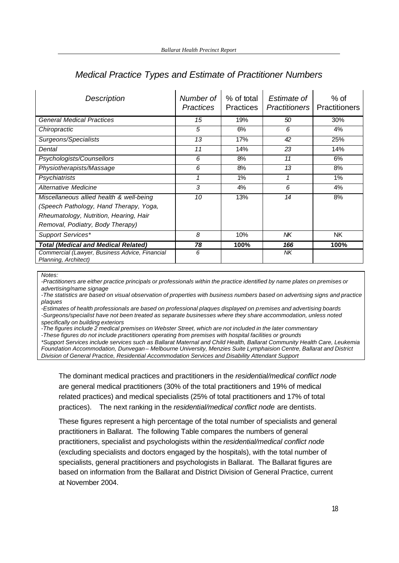| Description                                                                                                                                                      | Number of<br><b>Practices</b> | % of total<br><b>Practices</b> | Estimate of<br><b>Practitioners</b> | $%$ of<br>Practitioners |
|------------------------------------------------------------------------------------------------------------------------------------------------------------------|-------------------------------|--------------------------------|-------------------------------------|-------------------------|
| <b>General Medical Practices</b>                                                                                                                                 | 15                            | 19%                            | 50                                  | 30%                     |
| Chiropractic                                                                                                                                                     | 5                             | 6%                             | 6                                   | 4%                      |
| Surgeons/Specialists                                                                                                                                             | 13                            | 17%                            | 42                                  | 25%                     |
| Dental                                                                                                                                                           | 11                            | 14%                            | 23                                  | 14%                     |
| Psychologists/Counsellors                                                                                                                                        | 6                             | 8%                             | 11                                  | 6%                      |
| Physiotherapists/Massage                                                                                                                                         | 6                             | 8%                             | 13                                  | 8%                      |
| Psychiatrists                                                                                                                                                    |                               | 1%                             |                                     | 1%                      |
| Alternative Medicine                                                                                                                                             | 3                             | 4%                             | 6                                   | 4%                      |
| Miscellaneous allied health & well-being<br>(Speech Pathology, Hand Therapy, Yoga,<br>Rheumatology, Nutrition, Hearing, Hair<br>Removal, Podiatry, Body Therapy) | 10                            | 13%                            | 14                                  | 8%                      |
| Support Services*                                                                                                                                                | 8                             | 10%                            | NΚ                                  | <b>NK</b>               |
| <b>Total (Medical and Medical Related)</b>                                                                                                                       | 78                            | 100%                           | 166                                 | 100%                    |
| Commercial (Lawyer, Business Advice, Financial<br>Planning, Architect)                                                                                           | 6                             |                                | NK                                  |                         |

### *Medical Practice Types and Estimate of Practitioner Numbers*

*Notes:*

*-Practitioners are either practice principals or professionals within the practice identified by name plates on premises or advertising/name signage*

*-The statistics are based on visual observation of properties with business numbers based on advertising signs and practice plaques*

*-Estimates of health professionals are based on professional plaques displayed on premises and advertising boards -Surgeons/specialist have not been treated as separate businesses where they share accommodation, unless noted specifically on building exteriors*

*-The figures include 2 medical premises on Webster Street, which are not included in the later commentary*

*-These figures do not include practitioners operating from premises with hospital facilities or grounds*

*\*Support Services include services such as Ballarat Maternal and Child Health, Ballarat Community Health Care, Leukemia Foundation Accommodation, Dunvegan – Melbourne University, Menzies Suite Lymphaision Centre, Ballarat and District Division of General Practice, Residential Accommodation Services and Disability Attendant Support*

The dominant medical practices and practitioners in the *residential/medical conflict node*  are general medical practitioners (30% of the total practitioners and 19% of medical related practices) and medical specialists (25% of total practitioners and 17% of total practices). The next ranking in the *residential/medical conflict node* are dentists.

These figures represent a high percentage of the total number of specialists and general practitioners in Ballarat. The following Table compares the numbers of general practitioners, specialist and psychologists within the *residential/medical conflict node*  (excluding specialists and doctors engaged by the hospitals), with the total number of specialists, general practitioners and psychologists in Ballarat. The Ballarat figures are based on information from the Ballarat and District Division of General Practice, current at November 2004.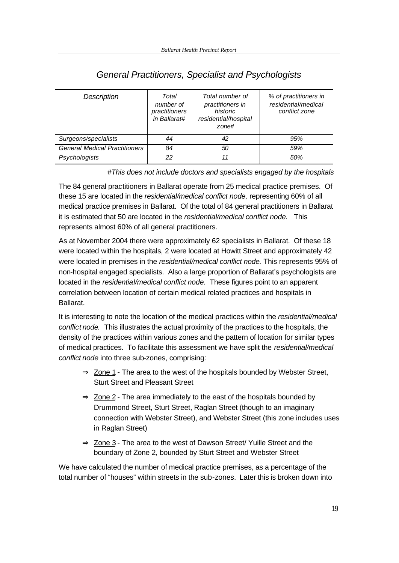| Description                          | Total<br>number of<br>practitioners<br>in Ballarat# | Total number of<br>practitioners in<br>historic<br>residential/hospital<br>zone# | % of practitioners in<br>residential/medical<br>conflict zone |
|--------------------------------------|-----------------------------------------------------|----------------------------------------------------------------------------------|---------------------------------------------------------------|
| Surgeons/specialists                 | 44                                                  | 42                                                                               | 95%                                                           |
| <b>General Medical Practitioners</b> | 84                                                  | 50                                                                               | 59%                                                           |
| Psychologists                        | 22                                                  | 11                                                                               | 50%                                                           |

## *General Practitioners, Specialist and Psychologists*

*#This does not include doctors and specialists engaged by the hospitals* 

The 84 general practitioners in Ballarat operate from 25 medical practice premises. Of these 15 are located in the *residential/medical conflict node,* representing 60% of all medical practice premises in Ballarat. Of the total of 84 general practitioners in Ballarat it is estimated that 50 are located in the *residential/medical conflict node.* This represents almost 60% of all general practitioners.

As at November 2004 there were approximately 62 specialists in Ballarat. Of these 18 were located within the hospitals, 2 were located at Howitt Street and approximately 42 were located in premises in the *residential/medical conflict node.* This represents 95% of non-hospital engaged specialists. Also a large proportion of Ballarat's psychologists are located in the *residential/medical conflict node.* These figures point to an apparent correlation between location of certain medical related practices and hospitals in Ballarat.

It is interesting to note the location of the medical practices within the *residential/medical conflict node.* This illustrates the actual proximity of the practices to the hospitals, the density of the practices within various zones and the pattern of location for similar types of medical practices. To facilitate this assessment we have split the *residential/medical conflict node* into three sub-zones, comprising:

- $\Rightarrow$  Zone 1 The area to the west of the hospitals bounded by Webster Street, Sturt Street and Pleasant Street
- $\Rightarrow$  Zone 2 The area immediately to the east of the hospitals bounded by Drummond Street, Sturt Street, Raglan Street (though to an imaginary connection with Webster Street), and Webster Street (this zone includes uses in Raglan Street)
- $\Rightarrow$  Zone 3 The area to the west of Dawson Street/ Yuille Street and the boundary of Zone 2, bounded by Sturt Street and Webster Street

We have calculated the number of medical practice premises, as a percentage of the total number of "houses" within streets in the sub-zones. Later this is broken down into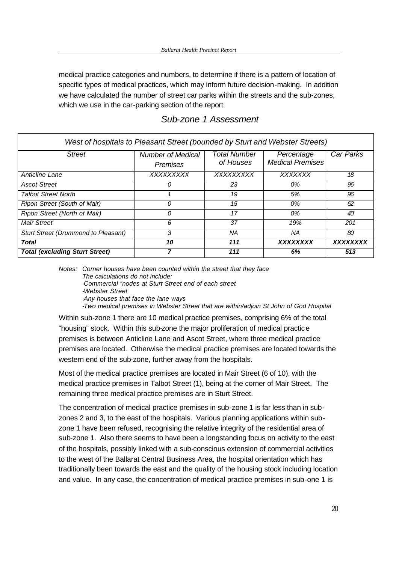medical practice categories and numbers, to determine if there is a pattern of location of specific types of medical practices, which may inform future decision-making. In addition we have calculated the number of street car parks within the streets and the sub-zones, which we use in the car-parking section of the report.

| West of hospitals to Pleasant Street (bounded by Sturt and Webster Streets) |                                      |                                  |                                       |           |  |  |
|-----------------------------------------------------------------------------|--------------------------------------|----------------------------------|---------------------------------------|-----------|--|--|
| <b>Street</b>                                                               | <b>Number of Medical</b><br>Premises | <b>Total Number</b><br>of Houses | Percentage<br><b>Medical Premises</b> | Car Parks |  |  |
| Anticline Lane                                                              | XXXXXXXXX                            | XXXXXXXXX                        | <b>XXXXXXX</b>                        | 18        |  |  |
| <b>Ascot Street</b>                                                         | 0                                    | 23                               | 0%                                    | 96        |  |  |
| <b>Talbot Street North</b>                                                  |                                      | 19                               | 5%                                    | 96        |  |  |
| Ripon Street (South of Mair)                                                | 0                                    | 15                               | 0%                                    | 62        |  |  |
| Ripon Street (North of Mair)                                                | $\Omega$                             | 17                               | 0%                                    | 40        |  |  |
| Mair Street                                                                 | 6                                    | 37                               | 19%                                   | 201       |  |  |
| <b>Sturt Street (Drummond to Pleasant)</b>                                  | 3                                    | ΝA                               | ΝA                                    | 80        |  |  |
| Total                                                                       | 10                                   | 111                              | <b>XXXXXXXX</b>                       | XXXXXXXX  |  |  |
| <b>Total (excluding Sturt Street)</b>                                       |                                      | 111                              | 6%                                    | 513       |  |  |

#### *Sub-zone 1 Assessment*

*Notes: Corner houses have been counted within the street that they face The calculations do not include: -Commercial "nodes at Sturt Street end of each street -Webster Street -Any houses that face the lane ways -Two medical premises in Webster Street that are within/adjoin St John of God Hospital* 

Within sub-zone 1 there are 10 medical practice premises, comprising 6% of the total "housing" stock. Within this sub-zone the major proliferation of medical practice premises is between Anticline Lane and Ascot Street, where three medical practice premises are located. Otherwise the medical practice premises are located towards the western end of the sub-zone, further away from the hospitals.

Most of the medical practice premises are located in Mair Street (6 of 10), with the medical practice premises in Talbot Street (1), being at the corner of Mair Street. The remaining three medical practice premises are in Sturt Street.

The concentration of medical practice premises in sub-zone 1 is far less than in subzones 2 and 3, to the east of the hospitals. Various planning applications within subzone 1 have been refused, recognising the relative integrity of the residential area of sub-zone 1. Also there seems to have been a longstanding focus on activity to the east of the hospitals, possibly linked with a sub-conscious extension of commercial activities to the west of the Ballarat Central Business Area, the hospital orientation which has traditionally been towards the east and the quality of the housing stock including location and value. In any case, the concentration of medical practice premises in sub-one 1 is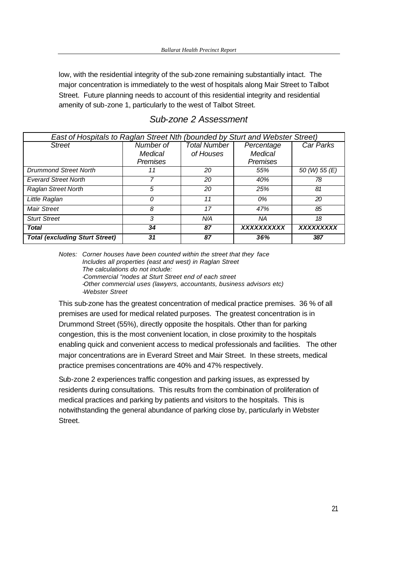low, with the residential integrity of the sub-zone remaining substantially intact. The major concentration is immediately to the west of hospitals along Mair Street to Talbot Street. Future planning needs to account of this residential integrity and residential amenity of sub-zone 1, particularly to the west of Talbot Street.

| East of Hospitals to Raglan Street Nth (bounded by Sturt and Webster Street) |                 |                     |                 |               |  |  |
|------------------------------------------------------------------------------|-----------------|---------------------|-----------------|---------------|--|--|
| <b>Street</b>                                                                | Number of       | <b>Total Number</b> | Percentage      | Car Parks     |  |  |
|                                                                              | Medical         | of Houses           | <b>Medical</b>  |               |  |  |
|                                                                              | <b>Premises</b> |                     | <b>Premises</b> |               |  |  |
| <b>Drummond Street North</b>                                                 | 11              | 20                  | 55%             | 50 (W) 55 (E) |  |  |
| <b>Everard Street North</b>                                                  |                 | 20                  | 40%             | 78            |  |  |
| <b>Raglan Street North</b>                                                   | 5               | 20                  | 25%             | 81            |  |  |
| Little Raglan                                                                | 0               | 11                  | 0%              | 20            |  |  |
| Mair Street                                                                  | 8               | 17                  | 47%             | 85            |  |  |
| <b>Sturt Street</b>                                                          | 3               | N/A                 | ΝA              | 18            |  |  |
| <b>Total</b>                                                                 | 34              | 87                  | XXXXXXXXX       | XXXXXXXXX     |  |  |
| <b>Total (excluding Sturt Street)</b>                                        | 31              | 87                  | 36%             | 387           |  |  |

### *Sub-zone 2 Assessment*

*Notes: Corner houses have been counted within the street that they face Includes all properties (east and west) in Raglan Street The calculations do not include: -Commercial "nodes at Sturt Street end of each street -Other commercial uses (lawyers, accountants, business advisors etc) -Webster Street* 

This sub-zone has the greatest concentration of medical practice premises. 36 % of all premises are used for medical related purposes. The greatest concentration is in Drummond Street (55%), directly opposite the hospitals. Other than for parking congestion, this is the most convenient location, in close proximity to the hospitals enabling quick and convenient access to medical professionals and facilities. The other major concentrations are in Everard Street and Mair Street. In these streets, medical practice premises concentrations are 40% and 47% respectively.

Sub-zone 2 experiences traffic congestion and parking issues, as expressed by residents during consultations. This results from the combination of proliferation of medical practices and parking by patients and visitors to the hospitals. This is notwithstanding the general abundance of parking close by, particularly in Webster Street.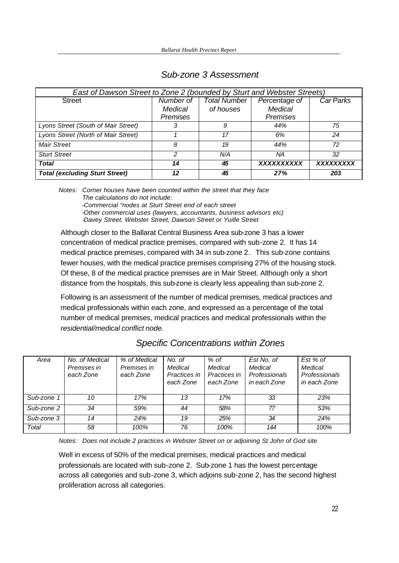| East of Dawson Street to Zone 2 (bounded by Sturt and Webster Streets) |                 |                     |                   |           |  |  |
|------------------------------------------------------------------------|-----------------|---------------------|-------------------|-----------|--|--|
| <b>Street</b>                                                          | Number of       | <b>Total Number</b> | Percentage of     | Car Parks |  |  |
|                                                                        | Medical         | of houses           | <b>Medical</b>    |           |  |  |
|                                                                        | <b>Premises</b> |                     | Premises          |           |  |  |
| Lyons Street (South of Mair Street)                                    | 3               | 9                   | 44%               | 75        |  |  |
| Lyons Street (North of Mair Street)                                    |                 | 17                  | 6%                | 24        |  |  |
| <b>Mair Street</b>                                                     | 8               | 19                  | 44%               | 72        |  |  |
| <b>Sturt Street</b>                                                    | 2               | N/A                 | ΝA                | 32        |  |  |
| <b>Total</b>                                                           | 14              | 45                  | <b>XXXXXXXXXX</b> | XXXXXXXXX |  |  |
| <b>Total (excluding Sturt Street)</b>                                  | 12              | 45                  | 27%               | 203       |  |  |

### *Sub-zone 3 Assessment*

*Notes: Corner houses have been counted within the street that they face The calculations do not include: -Commercial "nodes at Sturt Street end of each street -Other commercial uses (lawyers, accountants, business advisors etc) -Davey Street, Webster Street, Dawson Street or Yuille Street* 

Although closer to the Ballarat Central Business Area sub-zone 3 has a lower concentration of medical practice premises, compared with sub-zone 2. It has 14 medical practice premises, compared with 34 in sub-zone 2. This sub-zone contains fewer houses, with the medical practice premises comprising 27% of the housing stock. Of these, 8 of the medical practice premises are in Mair Street. Although only a short distance from the hospitals, this sub-zone is clearly less appealing than sub-zone 2.

Following is an assessment of the number of medical premises, medical practices and medical professionals within each zone, and expressed as a percentage of the total number of medical premises, medical practices and medical professionals within the *residential/medical conflict node*.

| Area       | No. of Medical<br>Premises in<br>each Zone | % of Medical<br>Premises in<br>each Zone | No. of<br>Medical<br>Practices in<br>each Zone | $%$ of<br>Medical<br>Practices in<br>each Zone | Est No. of<br>Medical<br>Professionals<br>in each Zone | Est % of<br>Medical<br>Professionals<br>in each Zone |
|------------|--------------------------------------------|------------------------------------------|------------------------------------------------|------------------------------------------------|--------------------------------------------------------|------------------------------------------------------|
| Sub-zone 1 | 10                                         | 17%                                      | 13                                             | 17%                                            | 33                                                     | 23%                                                  |
| Sub-zone 2 | 34                                         | 59%                                      | 44                                             | 58%                                            | 77                                                     | 53%                                                  |
| Sub-zone 3 | 14                                         | 24%                                      | 19                                             | 25%                                            | 34                                                     | 24%                                                  |
| Total      | 58                                         | 100%                                     | 76                                             | 100%                                           | 144                                                    | 100%                                                 |

## *Specific Concentrations within Zones*

*Notes: Does not include 2 practices in Webster Street on or adjoining St John of God site*

Well in excess of 50% of the medical premises, medical practices and medical professionals are located with sub-zone 2. Sub-zone 1 has the lowest percentage across all categories and sub-zone 3, which adjoins sub-zone 2, has the second highest proliferation across all categories.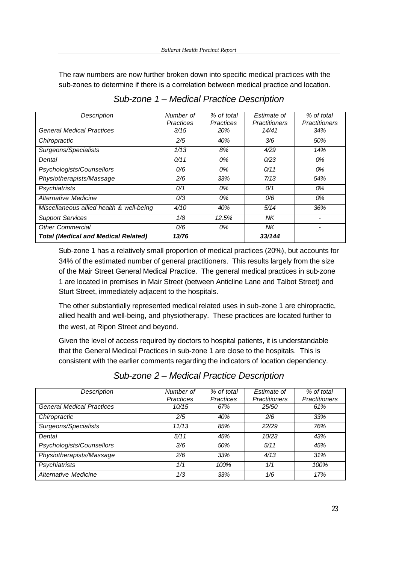The raw numbers are now further broken down into specific medical practices with the sub-zones to determine if there is a correlation between medical practice and location.

| <b>Description</b>                         | Number of        | % of total       | Estimate of          | % of total           |
|--------------------------------------------|------------------|------------------|----------------------|----------------------|
|                                            | <b>Practices</b> | <b>Practices</b> | <b>Practitioners</b> | <b>Practitioners</b> |
| <b>General Medical Practices</b>           | 3/15             | 20%              | 14/41                | 34%                  |
| Chiropractic                               | 2/5              | 40%              | 3/6                  | 50%                  |
| Surgeons/Specialists                       | 1/13             | 8%               | 4/29                 | 14%                  |
| Dental                                     | 0/11             | 0%               | 0/23                 | 0%                   |
| Psychologists/Counsellors                  | 0/6              | 0%               | 0/11                 | 0%                   |
| Physiotherapists/Massage                   | 2/6              | 33%              | 7/13                 | 54%                  |
| Psychiatrists                              | 0/1              | 0%               | O/1                  | 0%                   |
| Alternative Medicine                       | 0/3              | 0%               | 0/6                  | 0%                   |
| Miscellaneous allied health & well-being   | 4/10             | 40%              | 5/14                 | 36%                  |
| <b>Support Services</b>                    | 1/8              | 12.5%            | NΚ                   |                      |
| <b>Other Commercial</b>                    | 0/6              | 0%               | <b>NK</b>            |                      |
| <b>Total (Medical and Medical Related)</b> | 13/76            |                  | 33/144               |                      |

*Sub-zone 1 – Medical Practice Description* 

Sub-zone 1 has a relatively small proportion of medical practices (20%), but accounts for 34% of the estimated number of general practitioners. This results largely from the size of the Mair Street General Medical Practice. The general medical practices in sub-zone 1 are located in premises in Mair Street (between Anticline Lane and Talbot Street) and Sturt Street, immediately adjacent to the hospitals.

The other substantially represented medical related uses in sub-zone 1 are chiropractic, allied health and well-being, and physiotherapy. These practices are located further to the west, at Ripon Street and beyond.

Given the level of access required by doctors to hospital patients, it is understandable that the General Medical Practices in sub-zone 1 are close to the hospitals. This is consistent with the earlier comments regarding the indicators of location dependency.

| Description                      | Number of<br><b>Practices</b> | % of total<br><b>Practices</b> | Estimate of<br><b>Practitioners</b> | % of total<br><b>Practitioners</b> |
|----------------------------------|-------------------------------|--------------------------------|-------------------------------------|------------------------------------|
| <b>General Medical Practices</b> | 10/15                         | 67%                            | 25/50                               | 61%                                |
| Chiropractic                     | 2/5                           | 40%                            | 2/6                                 | 33%                                |
| Surgeons/Specialists             | 11/13                         | 85%                            | 22/29                               | 76%                                |
| Dental                           | 5/11                          | 45%                            | 10/23                               | 43%                                |
| Psychologists/Counsellors        | 3/6                           | 50%                            | 5/11                                | 45%                                |
| Physiotherapists/Massage         | 2/6                           | 33%                            | 4/13                                | 31%                                |
| Psychiatrists                    | 1/1                           | 100%                           | 1/1                                 | 100%                               |
| Alternative Medicine             | 1/3                           | 33%                            | 1/6                                 | 17%                                |

*Sub-zone 2 – Medical Practice Description*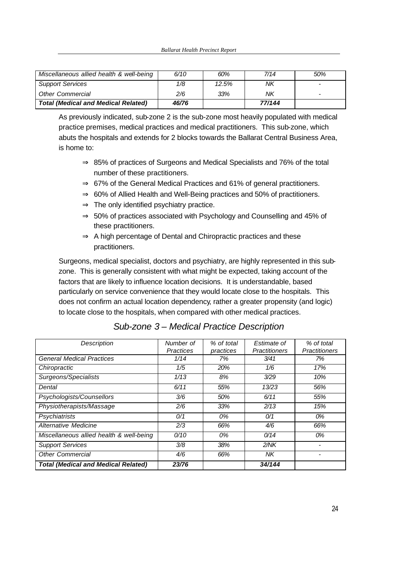| Miscellaneous allied health & well-being   | 6/10  | 60%   | 7/14   | 50% |
|--------------------------------------------|-------|-------|--------|-----|
| <b>Support Services</b>                    | 1/8   | 12.5% | ΝK     |     |
| <b>Other Commercial</b>                    | 2/6   | 33%   | ΝK     | -   |
| <b>Total (Medical and Medical Related)</b> | 46/76 |       | 77/144 |     |

As previously indicated, sub-zone 2 is the sub-zone most heavily populated with medical practice premises, medical practices and medical practitioners. This sub-zone, which abuts the hospitals and extends for 2 blocks towards the Ballarat Central Business Area, is home to:

- $\Rightarrow$  85% of practices of Surgeons and Medical Specialists and 76% of the total number of these practitioners.
- ⇒ 67% of the General Medical Practices and 61% of general practitioners.
- $\Rightarrow$  60% of Allied Health and Well-Being practices and 50% of practitioners.
- $\Rightarrow$  The only identified psychiatry practice.
- $\Rightarrow$  50% of practices associated with Psychology and Counselling and 45% of these practitioners.
- $\Rightarrow$  A high percentage of Dental and Chiropractic practices and these practitioners.

Surgeons, medical specialist, doctors and psychiatry, are highly represented in this subzone. This is generally consistent with what might be expected, taking account of the factors that are likely to influence location decisions. It is understandable, based particularly on service convenience that they would locate close to the hospitals. This does not confirm an actual location dependency, rather a greater propensity (and logic) to locate close to the hospitals, when compared with other medical practices.

| Description                                | Number of        | % of total | Estimate of          | % of total           |
|--------------------------------------------|------------------|------------|----------------------|----------------------|
|                                            | <b>Practices</b> | practices  | <b>Practitioners</b> | <b>Practitioners</b> |
| <b>General Medical Practices</b>           | 1/14             | 7%         | 3/41                 | 7%                   |
| Chiropractic                               | 1/5              | 20%        | 1/6                  | 17%                  |
| Surgeons/Specialists                       | 1/13             | 8%         | 3/29                 | 10%                  |
| Dental                                     | 6/11             | 55%        | 13/23                | 56%                  |
| Psychologists/Counsellors                  | 3/6              | 50%        | 6/11                 | 55%                  |
| Physiotherapists/Massage                   | 2/6              | 33%        | 2/13                 | 15%                  |
| Psychiatrists                              | 0/1              | 0%         | O/1                  | 0%                   |
| Alternative Medicine                       | 2/3              | 66%        | 4/6                  | 66%                  |
| Miscellaneous allied health & well-being   | 0/10             | 0%         | 0/14                 | 0%                   |
| <b>Support Services</b>                    | 3/8              | 38%        | 2/NK                 |                      |
| <b>Other Commercial</b>                    | 4/6              | 66%        | NΚ                   |                      |
| <b>Total (Medical and Medical Related)</b> | 23/76            |            | 34/144               |                      |

*Sub-zone 3 – Medical Practice Description*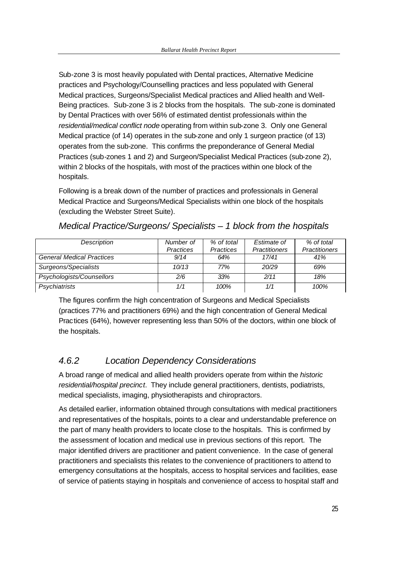Sub-zone 3 is most heavily populated with Dental practices, Alternative Medicine practices and Psychology/Counselling practices and less populated with General Medical practices, Surgeons/Specialist Medical practices and Allied health and Well-Being practices. Sub-zone 3 is 2 blocks from the hospitals. The sub-zone is dominated by Dental Practices with over 56% of estimated dentist professionals within the *residential/medical conflict node* operating from within sub-zone 3. Only one General Medical practice (of 14) operates in the sub-zone and only 1 surgeon practice (of 13) operates from the sub-zone. This confirms the preponderance of General Medial Practices (sub-zones 1 and 2) and Surgeon/Specialist Medical Practices (sub-zone 2), within 2 blocks of the hospitals, with most of the practices within one block of the hospitals.

Following is a break down of the number of practices and professionals in General Medical Practice and Surgeons/Medical Specialists within one block of the hospitals (excluding the Webster Street Suite).

| Description                      | Number of        | % of total       | Estimate of          | % of total           |
|----------------------------------|------------------|------------------|----------------------|----------------------|
|                                  | <b>Practices</b> | <b>Practices</b> | <b>Practitioners</b> | <b>Practitioners</b> |
| <b>General Medical Practices</b> | 9/14             | 64%              | 17/41                | 41%                  |
| Surgeons/Specialists             | 10/13            | 77%              | 20/29                | 69%                  |
| Psychologists/Counsellors        | 2/6              | 33%              | 2/11                 | 18%                  |
| Psychiatrists                    | 1/1              | 100%             | 1/1                  | 100%                 |

*Medical Practice/Surgeons/ Specialists – 1 block from the hospitals*

The figures confirm the high concentration of Surgeons and Medical Specialists (practices 77% and practitioners 69%) and the high concentration of General Medical Practices (64%), however representing less than 50% of the doctors, within one block of the hospitals.

## *4.6.2 Location Dependency Considerations*

A broad range of medical and allied health providers operate from within the *historic residential/hospital precinct*. They include general practitioners, dentists, podiatrists, medical specialists, imaging, physiotherapists and chiropractors.

As detailed earlier, information obtained through consultations with medical practitioners and representatives of the hospitals, points to a clear and understandable preference on the part of many health providers to locate close to the hospitals. This is confirmed by the assessment of location and medical use in previous sections of this report. The major identified drivers are practitioner and patient convenience. In the case of general practitioners and specialists this relates to the convenience of practitioners to attend to emergency consultations at the hospitals, access to hospital services and facilities, ease of service of patients staying in hospitals and convenience of access to hospital staff and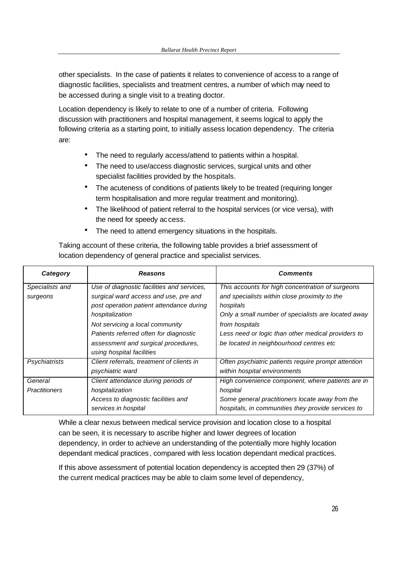other specialists. In the case of patients it relates to convenience of access to a range of diagnostic facilities, specialists and treatment centres, a number of which may need to be accessed during a single visit to a treating doctor.

Location dependency is likely to relate to one of a number of criteria. Following discussion with practitioners and hospital management, it seems logical to apply the following criteria as a starting point, to initially assess location dependency. The criteria are:

- The need to regularly access/attend to patients within a hospital.
- The need to use/access diagnostic services, surgical units and other specialist facilities provided by the hospitals.
- The acuteness of conditions of patients likely to be treated (requiring longer term hospitalisation and more regular treatment and monitoring).
- The likelihood of patient referral to the hospital services (or vice versa), with the need for speedy access.
- The need to attend emergency situations in the hospitals.

Taking account of these criteria, the following table provides a brief assessment of location dependency of general practice and specialist services.

| Category             | <b>Reasons</b>                             | <b>Comments</b>                                     |
|----------------------|--------------------------------------------|-----------------------------------------------------|
| Specialists and      | Use of diagnostic facilities and services, | This accounts for high concentration of surgeons    |
| surgeons             | surgical ward access and use, pre and      | and specialists within close proximity to the       |
|                      | post operation patient attendance during   | hospitals                                           |
|                      | hospitalization                            | Only a small number of specialists are located away |
|                      | Not servicing a local community            | from hospitals                                      |
|                      | Patients referred often for diagnostic     | Less need or logic than other medical providers to  |
|                      | assessment and surgical procedures,        | be located in neighbourhood centres etc             |
|                      | using hospital facilities                  |                                                     |
| Psychiatrists        | Client referrals, treatment of clients in  | Often psychiatric patients require prompt attention |
|                      | psychiatric ward                           | within hospital environments                        |
| General              | Client attendance during periods of        | High convenience component, where patients are in   |
| <b>Practitioners</b> | hospitalization                            | hospital                                            |
|                      | Access to diagnostic facilities and        | Some general practitioners locate away from the     |
|                      | services in hospital                       | hospitals, in communities they provide services to  |

While a clear nexus between medical service provision and location close to a hospital can be seen, it is necessary to ascribe higher and lower degrees of location dependency, in order to achieve an understanding of the potentially more highly location dependant medical practices, compared with less location dependant medical practices.

If this above assessment of potential location dependency is accepted then 29 (37%) of the current medical practices may be able to claim some level of dependency,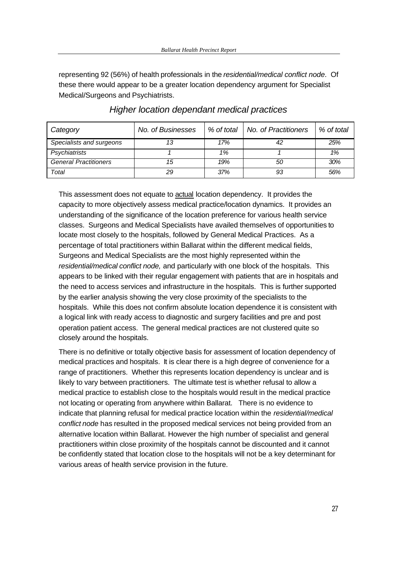representing 92 (56%) of health professionals in the *residential/medical conflict node*. Of these there would appear to be a greater location dependency argument for Specialist Medical/Surgeons and Psychiatrists.

| Category                     | No. of Businesses | % of total | No. of Practitioners | % of total |
|------------------------------|-------------------|------------|----------------------|------------|
| Specialists and surgeons     | 13                | 17%        | 42                   | 25%        |
| Psychiatrists                |                   | 1%         |                      | 1%         |
| <b>General Practitioners</b> | 15                | 19%        | 50                   | 30%        |
| Total                        | 29                | 37%        | 93                   | 56%        |

### *Higher location dependant medical practices*

This assessment does not equate to actual location dependency. It provides the capacity to more objectively assess medical practice/location dynamics. It provides an understanding of the significance of the location preference for various health service classes. Surgeons and Medical Specialists have availed themselves of opportunities to locate most closely to the hospitals, followed by General Medical Practices. As a percentage of total practitioners within Ballarat within the different medical fields, Surgeons and Medical Specialists are the most highly represented within the *residential/medical conflict node,* and particularly with one block of the hospitals. This appears to be linked with their regular engagement with patients that are in hospitals and the need to access services and infrastructure in the hospitals. This is further supported by the earlier analysis showing the very close proximity of the specialists to the hospitals. While this does not confirm absolute location dependence it is consistent with a logical link with ready access to diagnostic and surgery facilities and pre and post operation patient access. The general medical practices are not clustered quite so closely around the hospitals.

There is no definitive or totally objective basis for assessment of location dependency of medical practices and hospitals. It is clear there is a high degree of convenience for a range of practitioners. Whether this represents location dependency is unclear and is likely to vary between practitioners. The ultimate test is whether refusal to allow a medical practice to establish close to the hospitals would result in the medical practice not locating or operating from anywhere within Ballarat. There is no evidence to indicate that planning refusal for medical practice location within the *residential/medical conflict node* has resulted in the proposed medical services not being provided from an alternative location within Ballarat. However the high number of specialist and general practitioners within close proximity of the hospitals cannot be discounted and it cannot be confidently stated that location close to the hospitals will not be a key determinant for various areas of health service provision in the future.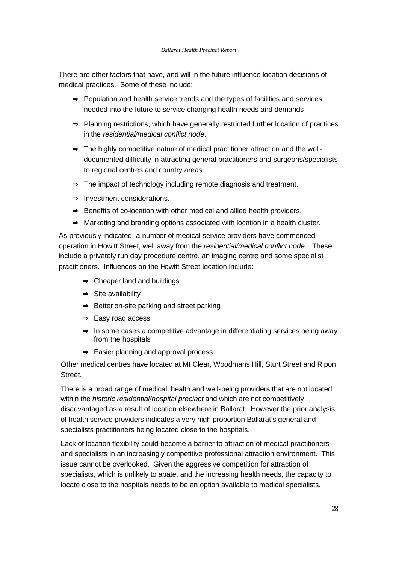There are other factors that have, and will in the future influence location decisions of medical practices. Some of these include:

- $\Rightarrow$  Population and health service trends and the types of facilities and services needed into the future to service changing health needs and demands
- ⇒ Planning restrictions, which have generally restricted further location of practices in the *residential/medical conflict node*.
- $\Rightarrow$  The highly competitive nature of medical practitioner attraction and the welldocumented difficulty in attracting general practitioners and surgeons/specialists to regional centres and country areas.
- $\Rightarrow$  The impact of technology including remote diagnosis and treatment.
- ⇒ Investment considerations.
- $\Rightarrow$  Benefits of co-location with other medical and allied health providers.
- $\Rightarrow$  Marketing and branding options associated with location in a health cluster.

As previously indicated, a number of medical service providers have commenced operation in Howitt Street, well away from the *residential/medical conflict node*. These include a privately run day procedure centre, an imaging centre and some specialist practitioners. Influences on the Howitt Street location include:

- ⇒ Cheaper land and buildings
- $\Rightarrow$  Site availability
- $\Rightarrow$  Better on-site parking and street parking
- $\Rightarrow$  Easy road access
- $\Rightarrow$  In some cases a competitive advantage in differentiating services being away from the hospitals
- ⇒ Easier planning and approval process

Other medical centres have located at Mt Clear, Woodmans Hill, Sturt Street and Ripon Street.

There is a broad range of medical, health and well-being providers that are not located within the *historic residential/hospital precinct* and which are not competitively disadvantaged as a result of location elsewhere in Ballarat. However the prior analysis of health service providers indicates a very high proportion Ballarat's general and specialists practitioners being located close to the hospitals.

Lack of location flexibility could become a barrier to attraction of medical practitioners and specialists in an increasingly competitive professional attraction environment. This issue cannot be overlooked. Given the aggressive competition for attraction of specialists, which is unlikely to abate, and the increasing health needs, the capacity to locate close to the hospitals needs to be an option available to medical specialists.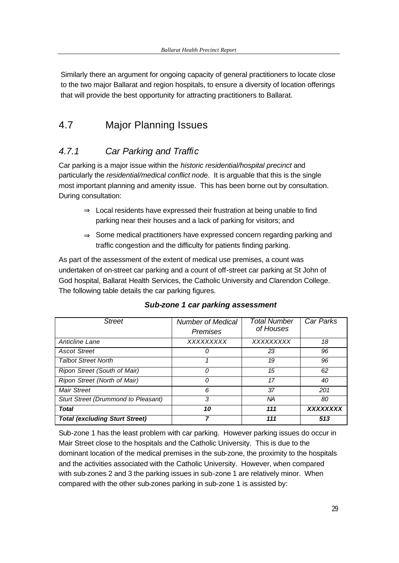Similarly there an argument for ongoing capacity of general practitioners to locate close to the two major Ballarat and region hospitals, to ensure a diversity of location offerings that will provide the best opportunity for attracting practitioners to Ballarat.

## 4.7 Major Planning Issues

## *4.7.1 Car Parking and Traffic*

Car parking is a major issue within the *historic residential/hospital precinct* and particularly the *residential/medical conflict node*. It is arguable that this is the single most important planning and amenity issue. This has been borne out by consultation. During consultation:

- $\Rightarrow$  Local residents have expressed their frustration at being unable to find parking near their houses and a lack of parking for visitors; and
- ⇒ Some medical practitioners have expressed concern regarding parking and traffic congestion and the difficulty for patients finding parking.

As part of the assessment of the extent of medical use premises, a count was undertaken of on-street car parking and a count of off-street car parking at St John of God hospital, Ballarat Health Services, the Catholic University and Clarendon College. The following table details the car parking figures.

| <b>Street</b>                         | <b>Number of Medical</b><br>Premises | <b>Total Number</b><br>of Houses | Car Parks       |
|---------------------------------------|--------------------------------------|----------------------------------|-----------------|
| Anticline Lane                        | XXXXXXXX                             | XXXXXXXXX                        | 18              |
| <b>Ascot Street</b>                   |                                      | 23                               | 96              |
| <b>Talbot Street North</b>            |                                      | 19                               | 96              |
| Ripon Street (South of Mair)          |                                      | 15                               | 62              |
| Ripon Street (North of Mair)          |                                      | 17                               | 40              |
| <b>Mair Street</b>                    | 6                                    | 37                               | 201             |
| Sturt Street (Drummond to Pleasant)   | 3                                    | ΝA                               | 80              |
| Total                                 | 10                                   | 111                              | <b>XXXXXXXX</b> |
| <b>Total (excluding Sturt Street)</b> |                                      | 111                              | 513             |

### *Sub-zone 1 car parking assessment*

Sub-zone 1 has the least problem with car parking. However parking issues do occur in Mair Street close to the hospitals and the Catholic University. This is due to the dominant location of the medical premises in the sub-zone, the proximity to the hospitals and the activities associated with the Catholic University. However, when compared with sub-zones 2 and 3 the parking issues in sub-zone 1 are relatively minor. When compared with the other sub-zones parking in sub-zone 1 is assisted by: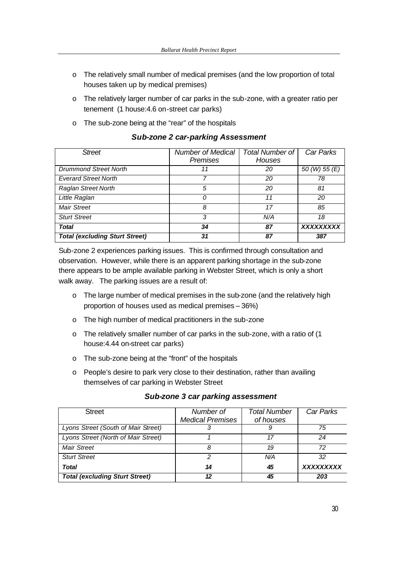- o The relatively small number of medical premises (and the low proportion of total houses taken up by medical premises)
- o The relatively larger number of car parks in the sub-zone, with a greater ratio per tenement (1 house:4.6 on-street car parks)
- o The sub-zone being at the "rear" of the hospitals

| <b>Street</b>                         | <b>Number of Medical</b><br><b>Premises</b> | <b>Total Number of</b><br><b>Houses</b> | Car Parks     |
|---------------------------------------|---------------------------------------------|-----------------------------------------|---------------|
| <b>Drummond Street North</b>          | 11                                          | 20                                      | 50 (W) 55 (E) |
| <b>Everard Street North</b>           |                                             | 20                                      | 78            |
| <b>Raglan Street North</b>            | 5                                           | 20                                      | 81            |
| Little Raglan                         | Ω                                           | 11                                      | 20            |
| <b>Mair Street</b>                    | 8                                           | 17                                      | 85            |
| <b>Sturt Street</b>                   | 3                                           | N/A                                     | 18            |
| <b>Total</b>                          | 34                                          | 87                                      | XXXXXXXXX     |
| <b>Total (excluding Sturt Street)</b> | 31                                          | 87                                      | 387           |

*Sub-zone 2 car-parking Assessment*

Sub-zone 2 experiences parking issues. This is confirmed through consultation and observation. However, while there is an apparent parking shortage in the sub-zone there appears to be ample available parking in Webster Street, which is only a short walk away. The parking issues are a result of:

- o The large number of medical premises in the sub-zone (and the relatively high proportion of houses used as medical premises – 36%)
- o The high number of medical practitioners in the sub-zone
- o The relatively smaller number of car parks in the sub-zone, with a ratio of (1 house:4.44 on-street car parks)
- o The sub-zone being at the "front" of the hospitals
- o People's desire to park very close to their destination, rather than availing themselves of car parking in Webster Street

| <b>Street</b>                         | Number of               | <b>Total Number</b> | Car Parks |
|---------------------------------------|-------------------------|---------------------|-----------|
|                                       | <b>Medical Premises</b> | of houses           |           |
| Lyons Street (South of Mair Street)   |                         |                     | 75        |
| Lyons Street (North of Mair Street)   |                         |                     | 24        |
| <b>Mair Street</b>                    |                         | 19                  | 72        |
| <b>Sturt Street</b>                   | 2                       | N/A                 | 32        |
| <b>Total</b>                          | 14                      | 45                  | XXXXXXXXX |
| <b>Total (excluding Sturt Street)</b> | 12                      | 45                  | 203       |

#### *Sub-zone 3 car parking assessment*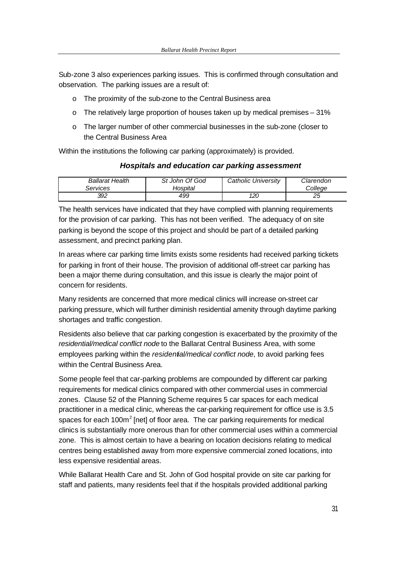Sub-zone 3 also experiences parking issues. This is confirmed through consultation and observation. The parking issues are a result of:

- o The proximity of the sub-zone to the Central Business area
- o The relatively large proportion of houses taken up by medical premises 31%
- o The larger number of other commercial businesses in the sub-zone (closer to the Central Business Area

Within the institutions the following car parking (approximately) is provided.

#### *Hospitals and education car parking assessment*

| <b>Ballarat Health</b> | St John Of God | Catholic University | Clarendon |
|------------------------|----------------|---------------------|-----------|
| Services               | Hospital       |                     | Colleae   |
| 392                    | 499            | 120                 | ∠∪        |

The health services have indicated that they have complied with planning requirements for the provision of car parking. This has not been verified. The adequacy of on site parking is beyond the scope of this project and should be part of a detailed parking assessment, and precinct parking plan.

In areas where car parking time limits exists some residents had received parking tickets for parking in front of their house. The provision of additional off-street car parking has been a major theme during consultation, and this issue is clearly the major point of concern for residents.

Many residents are concerned that more medical clinics will increase on-street car parking pressure, which will further diminish residential amenity through daytime parking shortages and traffic congestion.

Residents also believe that car parking congestion is exacerbated by the proximity of the *residential/medical conflict node* to the Ballarat Central Business Area, with some employees parking within the *residential/medical conflict node*, to avoid parking fees within the Central Business Area.

Some people feel that car-parking problems are compounded by different car parking requirements for medical clinics compared with other commercial uses in commercial zones. Clause 52 of the Planning Scheme requires 5 car spaces for each medical practitioner in a medical clinic, whereas the car-parking requirement for office use is 3.5 spaces for each 100 $m^2$  [net] of floor area. The car parking requirements for medical clinics is substantially more onerous than for other commercial uses within a commercial zone. This is almost certain to have a bearing on location decisions relating to medical centres being established away from more expensive commercial zoned locations, into less expensive residential areas.

While Ballarat Health Care and St. John of God hospital provide on site car parking for staff and patients, many residents feel that if the hospitals provided additional parking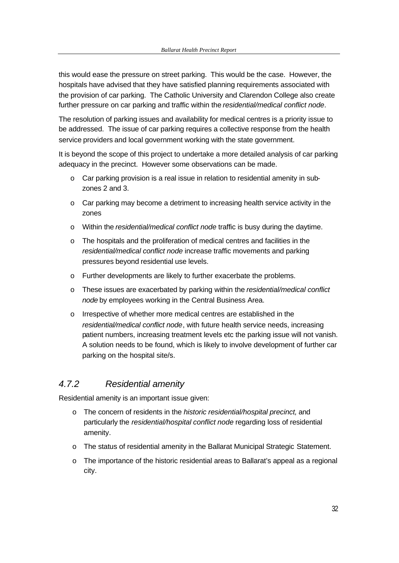this would ease the pressure on street parking. This would be the case. However, the hospitals have advised that they have satisfied planning requirements associated with the provision of car parking. The Catholic University and Clarendon College also create further pressure on car parking and traffic within the *residential/medical conflict node*.

The resolution of parking issues and availability for medical centres is a priority issue to be addressed. The issue of car parking requires a collective response from the health service providers and local government working with the state government.

It is beyond the scope of this project to undertake a more detailed analysis of car parking adequacy in the precinct. However some observations can be made.

- o Car parking provision is a real issue in relation to residential amenity in subzones 2 and 3.
- o Car parking may become a detriment to increasing health service activity in the zones
- o Within the *residential/medical conflict node* traffic is busy during the daytime.
- o The hospitals and the proliferation of medical centres and facilities in the *residential/medical conflict node* increase traffic movements and parking pressures beyond residential use levels.
- o Further developments are likely to further exacerbate the problems.
- o These issues are exacerbated by parking within the *residential/medical conflict node* by employees working in the Central Business Area.
- o Irrespective of whether more medical centres are established in the *residential/medical conflict node*, with future health service needs, increasing patient numbers, increasing treatment levels etc the parking issue will not vanish. A solution needs to be found, which is likely to involve development of further car parking on the hospital site/s.

## *4.7.2 Residential amenity*

Residential amenity is an important issue given:

- o The concern of residents in the *historic residential/hospital precinct,* and particularly the *residential/hospital conflict node* regarding loss of residential amenity.
- o The status of residential amenity in the Ballarat Municipal Strategic Statement.
- $\circ$  The importance of the historic residential areas to Ballarat's appeal as a regional city.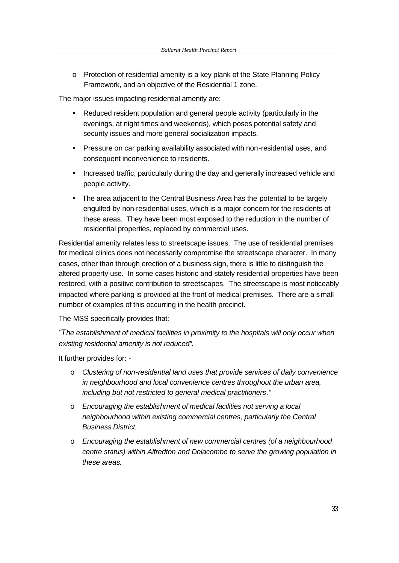$\circ$  Protection of residential amenity is a key plank of the State Planning Policy Framework, and an objective of the Residential 1 zone.

The major issues impacting residential amenity are:

- Reduced resident population and general people activity (particularly in the evenings, at night times and weekends), which poses potential safety and security issues and more general socialization impacts.
- Pressure on car parking availability associated with non-residential uses, and consequent inconvenience to residents.
- Increased traffic, particularly during the day and generally increased vehicle and people activity.
- The area adjacent to the Central Business Area has the potential to be largely engulfed by non-residential uses, which is a major concern for the residents of these areas. They have been most exposed to the reduction in the number of residential properties, replaced by commercial uses.

Residential amenity relates less to streetscape issues. The use of residential premises for medical clinics does not necessarily compromise the streetscape character. In many cases, other than through erection of a business sign, there is little to distinguish the altered property use. In some cases historic and stately residential properties have been restored, with a positive contribution to streetscapes. The streetscape is most noticeably impacted where parking is provided at the front of medical premises. There are a small number of examples of this occurring in the health precinct.

The MSS specifically provides that:

*"The establishment of medical facilities in proximity to the hospitals will only occur when existing residential amenity is not reduced".*

It further provides for: -

- o *Clustering of non-residential land uses that provide services of daily convenience in neighbourhood and local convenience centres throughout the urban area, including but not restricted to general medical practitioners."*
- o *Encouraging the establishment of medical facilities not serving a local neighbourhood within existing commercial centres, particularly the Central Business District.*
- o *Encouraging the establishment of new commercial centres (of a neighbourhood centre status) within Alfredton and Delacombe to serve the growing population in these areas.*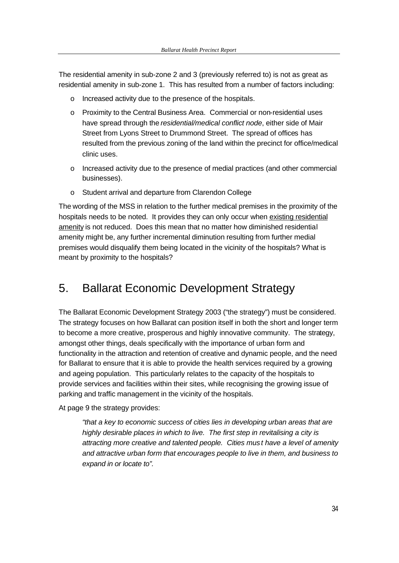The residential amenity in sub-zone 2 and 3 (previously referred to) is not as great as residential amenity in sub-zone 1. This has resulted from a number of factors including:

- o Increased activity due to the presence of the hospitals.
- o Proximity to the Central Business Area. Commercial or non-residential uses have spread through the *residential/medical conflict node*, either side of Mair Street from Lyons Street to Drummond Street. The spread of offices has resulted from the previous zoning of the land within the precinct for office/medical clinic uses.
- $\circ$  Increased activity due to the presence of medial practices (and other commercial businesses).
- o Student arrival and departure from Clarendon College

The wording of the MSS in relation to the further medical premises in the proximity of the hospitals needs to be noted. It provides they can only occur when existing residential amenity is not reduced. Does this mean that no matter how diminished residential amenity might be, any further incremental diminution resulting from further medial premises would disqualify them being located in the vicinity of the hospitals? What is meant by proximity to the hospitals?

## 5. Ballarat Economic Development Strategy

The Ballarat Economic Development Strategy 2003 ("the strategy") must be considered. The strategy focuses on how Ballarat can position itself in both the short and longer term to become a more creative, prosperous and highly innovative community. The strategy, amongst other things, deals specifically with the importance of urban form and functionality in the attraction and retention of creative and dynamic people, and the need for Ballarat to ensure that it is able to provide the health services required by a growing and ageing population. This particularly relates to the capacity of the hospitals to provide services and facilities within their sites, while recognising the growing issue of parking and traffic management in the vicinity of the hospitals.

At page 9 the strategy provides:

*"that a key to economic success of cities lies in developing urban areas that are highly desirable places in which to live. The first step in revitalising a city is attracting more creative and talented people. Cities must have a level of amenity and attractive urban form that encourages people to live in them, and business to expand in or locate to".*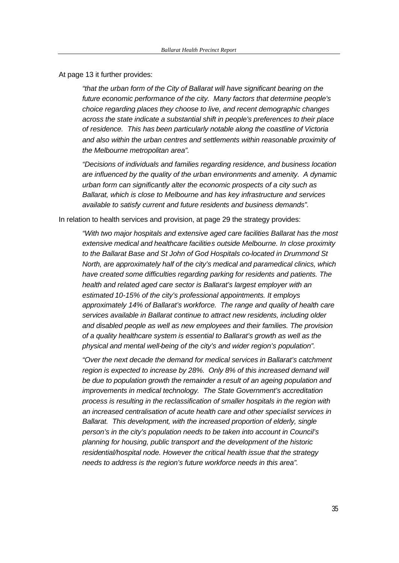At page 13 it further provides:

*"that the urban form of the City of Ballarat will have significant bearing on the future economic performance of the city. Many factors that determine people's choice regarding places they choose to live, and recent demographic changes across the state indicate a substantial shift in people's preferences to their place of residence. This has been particularly notable along the coastline of Victoria and also within the urban centres and settlements within reasonable proximity of the Melbourne metropolitan area".* 

*"Decisions of individuals and families regarding residence, and business location are influenced by the quality of the urban environments and amenity. A dynamic urban form can significantly alter the economic prospects of a city such as Ballarat, which is close to Melbourne and has key infrastructure and services available to satisfy current and future residents and business demands".*

In relation to health services and provision, at page 29 the strategy provides:

*"With two major hospitals and extensive aged care facilities Ballarat has the most extensive medical and healthcare facilities outside Melbourne. In close proximity to the Ballarat Base and St John of God Hospitals co-located in Drummond St North, are approximately half of the city's medical and paramedical clinics, which have created some difficulties regarding parking for residents and patients. The health and related aged care sector is Ballarat's largest employer with an estimated 10-15% of the city's professional appointments. It employs approximately 14% of Ballarat's workforce. The range and quality of health care services available in Ballarat continue to attract new residents, including older and disabled people as well as new employees and their families. The provision of a quality healthcare system is essential to Ballarat's growth as well as the physical and mental well-being of the city's and wider region's population".*

*"Over the next decade the demand for medical services in Ballarat's catchment region is expected to increase by 28%. Only 8% of this increased demand will be due to population growth the remainder a result of an ageing population and improvements in medical technology. The State Government's accreditation process is resulting in the reclassification of smaller hospitals in the region with an increased centralisation of acute health care and other specialist services in Ballarat. This development, with the increased proportion of elderly, single person's in the city's population needs to be taken into account in Council's planning for housing, public transport and the development of the historic residential/hospital node. However the critical health issue that the strategy needs to address is the region's future workforce needs in this area".*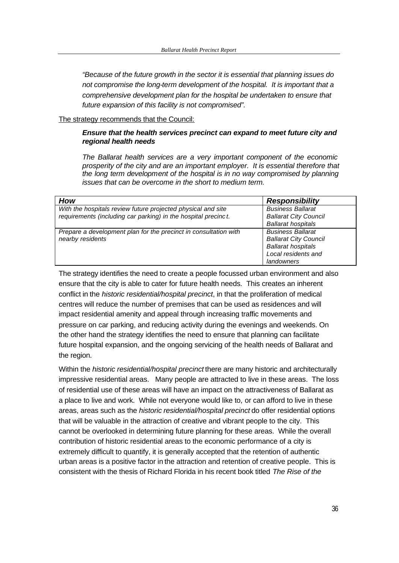*"Because of the future growth in the sector it is essential that planning issues do not compromise the long-term development of the hospital. It is important that a comprehensive development plan for the hospital be undertaken to ensure that future expansion of this facility is not compromised".*

#### The strategy recommends that the Council:

#### *Ensure that the health services precinct can expand to meet future city and regional health needs*

*The Ballarat health services are a very important component of the economic prosperity of the city and are an important employer. It is essential therefore that the long term development of the hospital is in no way compromised by planning issues that can be overcome in the short to medium term.*

| How                                                                                                                            | <b>Responsibility</b>                                                                                                      |
|--------------------------------------------------------------------------------------------------------------------------------|----------------------------------------------------------------------------------------------------------------------------|
| With the hospitals review future projected physical and site<br>requirements (including car parking) in the hospital precinct. | <b>Business Ballarat</b><br><b>Ballarat City Council</b><br><b>Ballarat hospitals</b>                                      |
| Prepare a development plan for the precinct in consultation with<br>nearby residents                                           | <b>Business Ballarat</b><br><b>Ballarat City Council</b><br><b>Ballarat hospitals</b><br>Local residents and<br>landowners |

The strategy identifies the need to create a people focussed urban environment and also ensure that the city is able to cater for future health needs. This creates an inherent conflict in the *historic residential/hospital precinct*, in that the proliferation of medical centres will reduce the number of premises that can be used as residences and will impact residential amenity and appeal through increasing traffic movements and pressure on car parking, and reducing activity during the evenings and weekends. On the other hand the strategy identifies the need to ensure that planning can facilitate future hospital expansion, and the ongoing servicing of the health needs of Ballarat and the region.

Within the *historic residential/hospital precinct* there are many historic and architecturally impressive residential areas. Many people are attracted to live in these areas. The loss of residential use of these areas will have an impact on the attractiveness of Ballarat as a place to live and work. While not everyone would like to, or can afford to live in these areas, areas such as the *historic residential/hospital precinct* do offer residential options that will be valuable in the attraction of creative and vibrant people to the city. This cannot be overlooked in determining future planning for these areas. While the overall contribution of historic residential areas to the economic performance of a city is extremely difficult to quantify, it is generally accepted that the retention of authentic urban areas is a positive factor in the attraction and retention of creative people. This is consistent with the thesis of Richard Florida in his recent book titled *The Rise of the*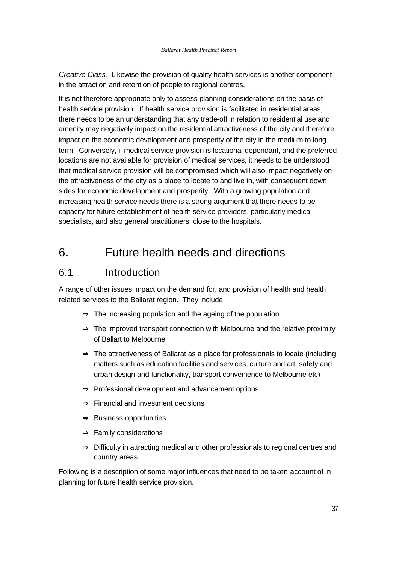*Creative Class.* Likewise the provision of quality health services is another component in the attraction and retention of people to regional centres.

It is not therefore appropriate only to assess planning considerations on the basis of health service provision. If health service provision is facilitated in residential areas, there needs to be an understanding that any trade-off in relation to residential use and amenity may negatively impact on the residential attractiveness of the city and therefore impact on the economic development and prosperity of the city in the medium to long term. Conversely, if medical service provision is locational dependant, and the preferred locations are not available for provision of medical services, it needs to be understood that medical service provision will be compromised which will also impact negatively on the attractiveness of the city as a place to locate to and live in, with consequent down sides for economic development and prosperity. With a growing population and increasing health service needs there is a strong argument that there needs to be capacity for future establishment of health service providers, particularly medical specialists, and also general practitioners, close to the hospitals.

## 6. Future health needs and directions

## 6.1 Introduction

A range of other issues impact on the demand for, and provision of health and health related services to the Ballarat region. They include:

- $\Rightarrow$  The increasing population and the ageing of the population
- $\Rightarrow$  The improved transport connection with Melbourne and the relative proximity of Ballart to Melbourne
- ⇒ The attractiveness of Ballarat as a place for professionals to locate (including matters such as education facilities and services, culture and art, safety and urban design and functionality, transport convenience to Melbourne etc)
- ⇒ Professional development and advancement options
- ⇒ Financial and investment decisions
- ⇒ Business opportunities
- $\Rightarrow$  Family considerations
- ⇒ Difficulty in attracting medical and other professionals to regional centres and country areas.

Following is a description of some major influences that need to be taken account of in planning for future health service provision.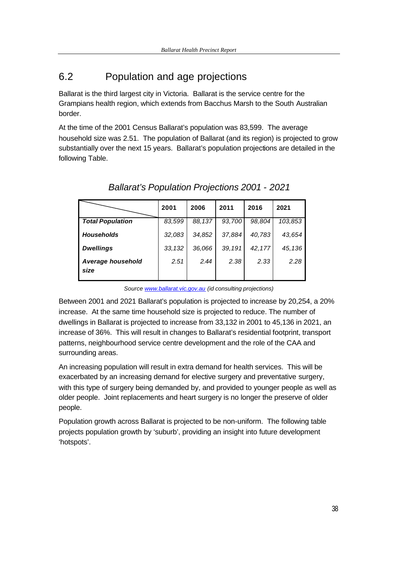## 6.2 Population and age projections

Ballarat is the third largest city in Victoria. Ballarat is the service centre for the Grampians health region, which extends from Bacchus Marsh to the South Australian border.

At the time of the 2001 Census Ballarat's population was 83,599. The average household size was 2.51. The population of Ballarat (and its region) is projected to grow substantially over the next 15 years. Ballarat's population projections are detailed in the following Table.

|                           | 2001   | 2006   | 2011   | 2016   | 2021    |
|---------------------------|--------|--------|--------|--------|---------|
| <b>Total Population</b>   | 83.599 | 88,137 | 93.700 | 98.804 | 103,853 |
| <b>Households</b>         | 32,083 | 34.852 | 37,884 | 40,783 | 43,654  |
| <b>Dwellings</b>          | 33,132 | 36,066 | 39,191 | 42,177 | 45,136  |
| Average household<br>size | 2.51   | 2.44   | 2.38   | 2.33   | 2.28    |

*Ballarat's Population Projections 2001 - 2021*

*Source www.ballarat.vic.gov.au (id consulting projections)* 

Between 2001 and 2021 Ballarat's population is projected to increase by 20,254, a 20% increase. At the same time household size is projected to reduce. The number of dwellings in Ballarat is projected to increase from 33,132 in 2001 to 45,136 in 2021, an increase of 36%. This will result in changes to Ballarat's residential footprint, transport patterns, neighbourhood service centre development and the role of the CAA and surrounding areas.

An increasing population will result in extra demand for health services. This will be exacerbated by an increasing demand for elective surgery and preventative surgery, with this type of surgery being demanded by, and provided to younger people as well as older people. Joint replacements and heart surgery is no longer the preserve of older people.

Population growth across Ballarat is projected to be non-uniform. The following table projects population growth by 'suburb', providing an insight into future development 'hotspots'.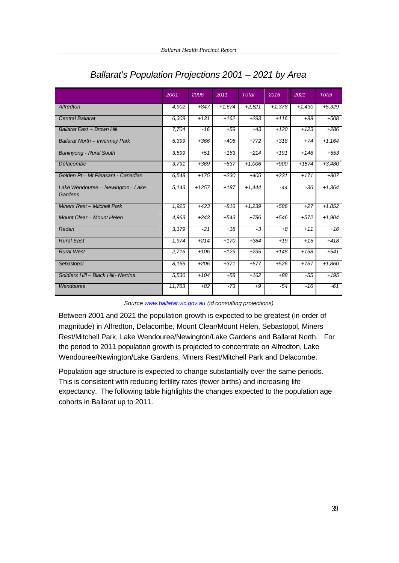|                                            | 2001   | 2006    | 2011     | <b>Total</b> | 2016     | 2021     | <b>Total</b> |
|--------------------------------------------|--------|---------|----------|--------------|----------|----------|--------------|
| Alfredton                                  | 4,902  | $+847$  | $+1,674$ | $+2,521$     | $+1,378$ | $+1,430$ | $+5,329$     |
| <b>Central Ballarat</b>                    | 6,309  | $+131$  | $+162$   | $+293$       | $+116$   | $+99$    | $+508$       |
| Ballarat East - Brown Hill                 | 7.704  | $-16$   | $+59$    | $+43$        | $+120$   | $+123$   | $+286$       |
| Ballarat North - Invermay Park             | 5,399  | $+366$  | $+406$   | $+772$       | $+318$   | $+74$    | $+1,164$     |
| <b>Buninyong - Rural South</b>             | 3,599  | $+51$   | $+163$   | $+214$       | $+191$   | $+148$   | $+553$       |
| Delacombe                                  | 3,791  | $+369$  | $+637$   | $+1,006$     | $+900$   | $+1574$  | $+3,480$     |
| Golden Pt-Mt Pleasant - Canadian           | 6,548  | $+175$  | $+230$   | $+405$       | $+231$   | $+171$   | $+807$       |
| Lake Wendouree - Newington-Lake<br>Gardens | 5,143  | $+1257$ | $+187$   | $+1,444$     | $-44$    | $-36$    | $+1,364$     |
| Miners Rest - Mitchell Park                | 1,925  | $+423$  | $+816$   | $+1,239$     | $+586$   | $+27$    | $+1,852$     |
| Mount Clear - Mount Helen                  | 4,963  | $+243$  | $+543$   | $+786$       | $+546$   | $+572$   | $+1,904$     |
| Redan                                      | 3,179  | $-21$   | $+18$    | $-3$         | $+8$     | $+11$    | $+16$        |
| <b>Rural East</b>                          | 1,974  | $+214$  | $+170$   | $+384$       | $+19$    | $+15$    | $+418$       |
| <b>Rural West</b>                          | 2,716  | $+106$  | $+129$   | $+235$       | $+148$   | $+158$   | $+541$       |
| Sebastopol                                 | 8,155  | $+206$  | $+371$   | $+577$       | $+526$   | $+757$   | $+1,860$     |
| Soldiers Hill-Black Hill-Nerrina           | 5,530  | $+104$  | $+58$    | $+162$       | $+88$    | -55      | $+195$       |
| Wendouree                                  | 11,763 | $+82$   | $-73$    | $+9$         | -54      | -16      | $-61$        |

## *Ballarat's Population Projections 2001 – 2021 by Area*

#### *Source www.ballarat.vic.gov.au (id consulting projections)*

Between 2001 and 2021 the population growth is expected to be greatest (in order of magnitude) in Alfredton, Delacombe, Mount Clear/Mount Helen, Sebastopol, Miners Rest/Mitchell Park, Lake Wendouree/Newington/Lake Gardens and Ballarat North. For the period to 2011 population growth is projected to concentrate on Alfredton, Lake Wendouree/Newington/Lake Gardens, Miners Rest/Mitchell Park and Delacombe.

Population age structure is expected to change substantially over the same periods. This is consistent with reducing fertility rates (fewer births) and increasing life expectancy. The following table highlights the changes expected to the population age cohorts in Ballarat up to 2011.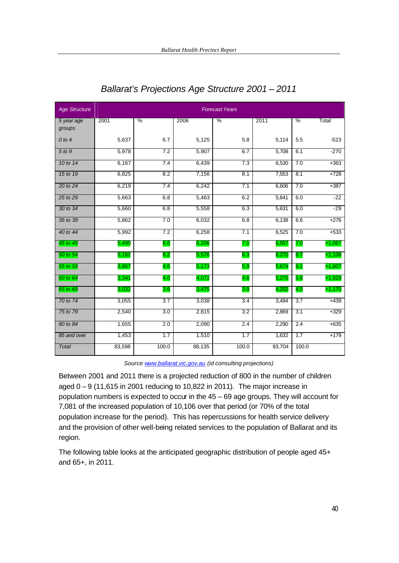| <b>Age Structure</b> | <b>Forecast Years</b> |       |        |       |        |       |          |
|----------------------|-----------------------|-------|--------|-------|--------|-------|----------|
| 5 year age<br>groups | 2001                  | $\%$  | 2006   | $\%$  | 2011   | $\%$  | Total    |
| $0$ to $4$           | 5,637                 | 6.7   | 5,125  | 5.8   | 5,114  | 5.5   | $-523$   |
| 5 to 9               | 5,978                 | 7.2   | 5,907  | 6.7   | 5,708  | 6.1   | $-270$   |
| 10 to 14             | 6,167                 | 7.4   | 6,439  | 7.3   | 6,530  | 7.0   | $+363$   |
| 15 to 19             | 6,825                 | 8.2   | 7,156  | 8.1   | 7,553  | 8.1   | $+728$   |
| 20 to 24             | 6,219                 | 7.4   | 6,242  | 7.1   | 6,606  | 7.0   | $+387$   |
| 25 to 29             | 5,663                 | 6.8   | 5,463  | 6.2   | 5,641  | 6.0   | $-22$    |
| 30 to 34             | 5,660                 | 6.8   | 5,558  | 6.3   | 5,631  | 6.0   | $-29$    |
| 35 to 39             | 5,862                 | 7.0   | 6,032  | 6.8   | 6,138  | 6.6   | $+276$   |
| 40 to 44             | 5,992                 | 7.2   | 6,258  | 7.1   | 6,525  | 7.0   | $+533$   |
| 45 to 49             | 5,490                 | 6.6   | 6,206  | 7.0   | 6,557  | 7.0   | $+1,067$ |
| 50 to 54             | 5,162                 | 6.2   | 5,576  | 6.3   | 6,270  | 6.7   | $+1,108$ |
| 55 to 59             | 3,867                 | 4.6   | 5,173  | 5.9   | 5,674  | 6.1   | $+1,807$ |
| 60 to 64             | 3,341                 | 4.0   | 4,072  | 4.6   | 5,270  | 5.6   | $+1,929$ |
| 65 to 69             | 3,032                 | 3.6   | 3,475  | 3.9   | 4,202  | 4.5   | $+1,170$ |
| 70 to 74             | 3,055                 | 3.7   | 3,038  | 3.4   | 3,494  | 3.7   | $+439$   |
| 75 to 79             | 2,540                 | 3.0   | 2,815  | 3.2   | 2,869  | 3.1   | $+329$   |
| 80 to 84             | 1,655                 | 2.0   | 2,090  | 2.4   | 2,290  | 2.4   | $+635$   |
| 85 and over          | 1,453                 | 1.7   | 1,510  | 1.7   | 1,632  | 1.7   | $+179$   |
| Total                | 83,598                | 100.0 | 88,135 | 100.0 | 93,704 | 100.0 |          |

## *Ballarat's Projections Age Structure 2001 – 2011*

*Source www.ballarat.vic.gov.au (id consulting projections)* 

Between 2001 and 2011 there is a projected reduction of 800 in the number of children aged 0 – 9 (11,615 in 2001 reducing to 10,822 in 2011). The major increase in population numbers is expected to occur in the 45 – 69 age groups. They will account for 7,081 of the increased population of 10,106 over that period (or 70% of the total population increase for the period). This has repercussions for health service delivery and the provision of other well-being related services to the population of Ballarat and its region.

The following table looks at the anticipated geographic distribution of people aged 45+ and 65+, in 2011.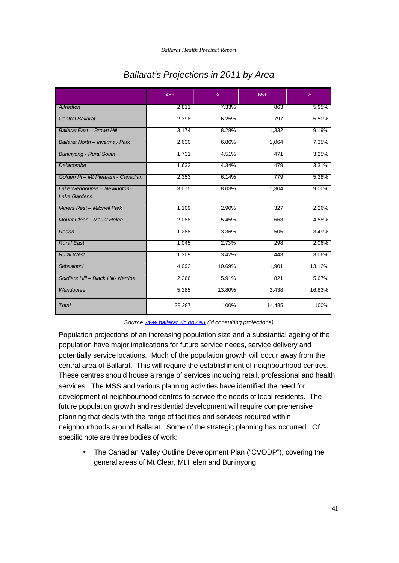|                                             | $45+$  | $\%$   | $65+$  | $\%$     |
|---------------------------------------------|--------|--------|--------|----------|
| <b>Alfredton</b>                            | 2.811  | 7.33%  | 863    | 5.95%    |
| <b>Central Ballarat</b>                     | 2,398  | 6.25%  | 797    | 5.50%    |
| Ballarat East - Brown Hill                  | 3,174  | 8.28%  | 1,332  | 9.19%    |
| <b>Ballarat North - Invermay Park</b>       | 2,630  | 6.86%  | 1,064  | 7.35%    |
| <b>Buninyong - Rural South</b>              | 1,731  | 4.51%  | 471    | 3.25%    |
| Delacombe                                   | 1,633  | 4.34%  | 479    | 3.31%    |
| Golden Pt-Mt Pleasant - Canadian            | 2,353  | 6.14%  | 779    | 5.38%    |
| Lake Wendouree - Newington-<br>Lake Gardens | 3,075  | 8.03%  | 1,304  | $9.00\%$ |
| Miners Rest - Mitchell Park                 | 1,109  | 2.90%  | 327    | 2.26%    |
| Mount Clear - Mount Helen                   | 2,088  | 5.45%  | 663    | 4.58%    |
| Redan                                       | 1,288  | 3.36%  | 505    | 3.49%    |
| <b>Rural East</b>                           | 1,045  | 2.73%  | 298    | 2.06%    |
| <b>Rural West</b>                           | 1,309  | 3.42%  | 443    | 3.06%    |
| Sebastopol                                  | 4,092  | 10.69% | 1,901  | 13.12%   |
| Soldiers Hill - Black Hill - Nerrina        | 2,266  | 5.91%  | 821    | 5.67%    |
| Wendouree                                   | 5,285  | 13.80% | 2,438  | 16.83%   |
| <b>Total</b>                                | 38,287 | 100%   | 14,485 | 100%     |

## *Ballarat's Projections in 2011 by Area*

#### *Source www.ballarat.vic.gov.au (id consulting projections)*

Population projections of an increasing population size and a substantial ageing of the population have major implications for future service needs, service delivery and potentially service locations. Much of the population growth will occur away from the central area of Ballarat. This will require the establishment of neighbourhood centres. These centres should house a range of services including retail, professional and health services. The MSS and various planning activities have identified the need for development of neighbourhood centres to service the needs of local residents. The future population growth and residential development will require comprehensive planning that deals with the range of facilities and services required within neighbourhoods around Ballarat. Some of the strategic planning has occurred. Of specific note are three bodies of work:

• The Canadian Valley Outline Development Plan ("CVODP"), covering the general areas of Mt Clear, Mt Helen and Buninyong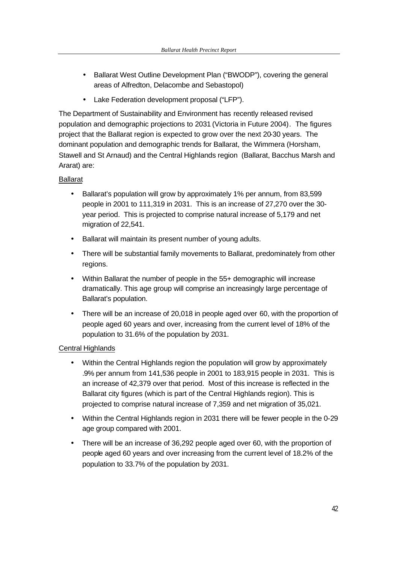- Ballarat West Outline Development Plan ("BWODP"), covering the general areas of Alfredton, Delacombe and Sebastopol)
- Lake Federation development proposal ("LFP").

The Department of Sustainability and Environment has recently released revised population and demographic projections to 2031 (Victoria in Future 2004). The figures project that the Ballarat region is expected to grow over the next 20-30 years. The dominant population and demographic trends for Ballarat, the Wimmera (Horsham, Stawell and St Arnaud) and the Central Highlands region (Ballarat, Bacchus Marsh and Ararat) are:

### Ballarat

- Ballarat's population will grow by approximately 1% per annum, from 83,599 people in 2001 to 111,319 in 2031. This is an increase of 27,270 over the 30 year period. This is projected to comprise natural increase of 5,179 and net migration of 22,541.
- Ballarat will maintain its present number of young adults.
- There will be substantial family movements to Ballarat, predominately from other regions.
- Within Ballarat the number of people in the 55+ demographic will increase dramatically. This age group will comprise an increasingly large percentage of Ballarat's population.
- There will be an increase of 20,018 in people aged over 60, with the proportion of people aged 60 years and over, increasing from the current level of 18% of the population to 31.6% of the population by 2031.

### Central Highlands

- Within the Central Highlands region the population will grow by approximately .9% per annum from 141,536 people in 2001 to 183,915 people in 2031. This is an increase of 42,379 over that period. Most of this increase is reflected in the Ballarat city figures (which is part of the Central Highlands region). This is projected to comprise natural increase of 7,359 and net migration of 35,021.
- Within the Central Highlands region in 2031 there will be fewer people in the 0-29 age group compared with 2001.
- There will be an increase of 36,292 people aged over 60, with the proportion of people aged 60 years and over increasing from the current level of 18.2% of the population to 33.7% of the population by 2031.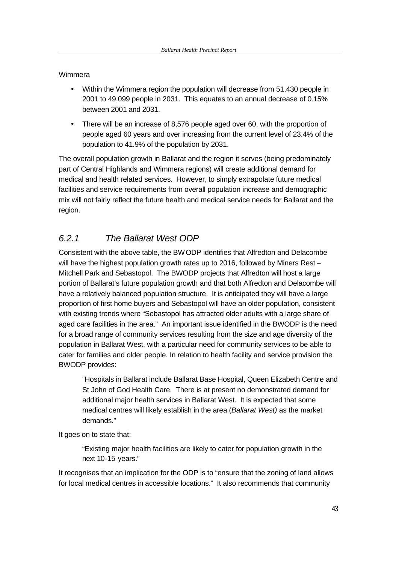#### **Wimmera**

- Within the Wimmera region the population will decrease from 51,430 people in 2001 to 49,099 people in 2031. This equates to an annual decrease of 0.15% between 2001 and 2031.
- There will be an increase of 8,576 people aged over 60, with the proportion of people aged 60 years and over increasing from the current level of 23.4% of the population to 41.9% of the population by 2031.

The overall population growth in Ballarat and the region it serves (being predominately part of Central Highlands and Wimmera regions) will create additional demand for medical and health related services. However, to simply extrapolate future medical facilities and service requirements from overall population increase and demographic mix will not fairly reflect the future health and medical service needs for Ballarat and the region.

## *6.2.1 The Ballarat West ODP*

Consistent with the above table, the BWODP identifies that Alfredton and Delacombe will have the highest population growth rates up to 2016, followed by Miners Rest-Mitchell Park and Sebastopol. The BWODP projects that Alfredton will host a large portion of Ballarat's future population growth and that both Alfredton and Delacombe will have a relatively balanced population structure. It is anticipated they will have a large proportion of first home buyers and Sebastopol will have an older population, consistent with existing trends where "Sebastopol has attracted older adults with a large share of aged care facilities in the area." An important issue identified in the BWODP is the need for a broad range of community services resulting from the size and age diversity of the population in Ballarat West, with a particular need for community services to be able to cater for families and older people. In relation to health facility and service provision the BWODP provides:

"Hospitals in Ballarat include Ballarat Base Hospital, Queen Elizabeth Centre and St John of God Health Care. There is at present no demonstrated demand for additional major health services in Ballarat West. It is expected that some medical centres will likely establish in the area (*Ballarat West)* as the market demands."

It goes on to state that:

"Existing major health facilities are likely to cater for population growth in the next 10-15 years."

It recognises that an implication for the ODP is to "ensure that the zoning of land allows for local medical centres in accessible locations." It also recommends that community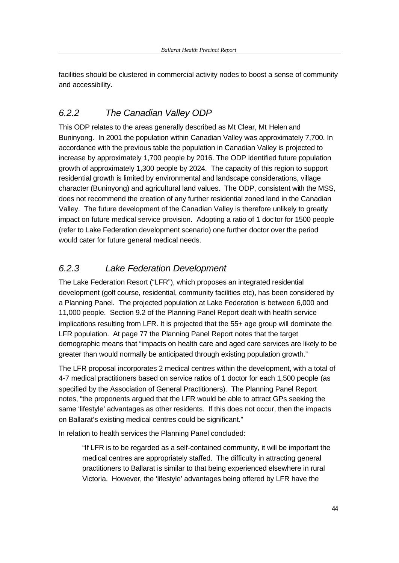facilities should be clustered in commercial activity nodes to boost a sense of community and accessibility.

## *6.2.2 The Canadian Valley ODP*

This ODP relates to the areas generally described as Mt Clear, Mt Helen and Buninyong. In 2001 the population within Canadian Valley was approximately 7,700. In accordance with the previous table the population in Canadian Valley is projected to increase by approximately 1,700 people by 2016. The ODP identified future population growth of approximately 1,300 people by 2024. The capacity of this region to support residential growth is limited by environmental and landscape considerations, village character (Buninyong) and agricultural land values. The ODP, consistent with the MSS, does not recommend the creation of any further residential zoned land in the Canadian Valley. The future development of the Canadian Valley is therefore unlikely to greatly impact on future medical service provision. Adopting a ratio of 1 doctor for 1500 people (refer to Lake Federation development scenario) one further doctor over the period would cater for future general medical needs.

## *6.2.3 Lake Federation Development*

The Lake Federation Resort ("LFR"), which proposes an integrated residential development (golf course, residential, community facilities etc), has been considered by a Planning Panel. The projected population at Lake Federation is between 6,000 and 11,000 people. Section 9.2 of the Planning Panel Report dealt with health service implications resulting from LFR. It is projected that the 55+ age group will dominate the LFR population. At page 77 the Planning Panel Report notes that the target demographic means that "impacts on health care and aged care services are likely to be greater than would normally be anticipated through existing population growth."

The LFR proposal incorporates 2 medical centres within the development, with a total of 4-7 medical practitioners based on service ratios of 1 doctor for each 1,500 people (as specified by the Association of General Practitioners). The Planning Panel Report notes, "the proponents argued that the LFR would be able to attract GPs seeking the same 'lifestyle' advantages as other residents. If this does not occur, then the impacts on Ballarat's existing medical centres could be significant."

In relation to health services the Planning Panel concluded:

"If LFR is to be regarded as a self-contained community, it will be important the medical centres are appropriately staffed. The difficulty in attracting general practitioners to Ballarat is similar to that being experienced elsewhere in rural Victoria. However, the 'lifestyle' advantages being offered by LFR have the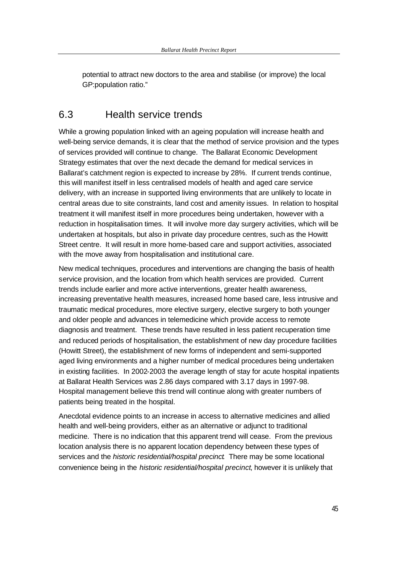potential to attract new doctors to the area and stabilise (or improve) the local GP:population ratio."

## 6.3 Health service trends

While a growing population linked with an ageing population will increase health and well-being service demands, it is clear that the method of service provision and the types of services provided will continue to change. The Ballarat Economic Development Strategy estimates that over the next decade the demand for medical services in Ballarat's catchment region is expected to increase by 28%. If current trends continue, this will manifest itself in less centralised models of health and aged care service delivery, with an increase in supported living environments that are unlikely to locate in central areas due to site constraints, land cost and amenity issues. In relation to hospital treatment it will manifest itself in more procedures being undertaken, however with a reduction in hospitalisation times. It will involve more day surgery activities, which will be undertaken at hospitals, but also in private day procedure centres, such as the Howitt Street centre. It will result in more home-based care and support activities, associated with the move away from hospitalisation and institutional care.

New medical techniques, procedures and interventions are changing the basis of health service provision, and the location from which health services are provided. Current trends include earlier and more active interventions, greater health awareness, increasing preventative health measures, increased home based care, less intrusive and traumatic medical procedures, more elective surgery, elective surgery to both younger and older people and advances in telemedicine which provide access to remote diagnosis and treatment. These trends have resulted in less patient recuperation time and reduced periods of hospitalisation, the establishment of new day procedure facilities (Howitt Street), the establishment of new forms of independent and semi-supported aged living environments and a higher number of medical procedures being undertaken in existing facilities. In 2002-2003 the average length of stay for acute hospital inpatients at Ballarat Health Services was 2.86 days compared with 3.17 days in 1997-98. Hospital management believe this trend will continue along with greater numbers of patients being treated in the hospital.

Anecdotal evidence points to an increase in access to alternative medicines and allied health and well-being providers, either as an alternative or adjunct to traditional medicine. There is no indication that this apparent trend will cease. From the previous location analysis there is no apparent location dependency between these types of services and the *historic residential/hospital precinct*. There may be some locational convenience being in the *historic residential/hospital precinct*, however it is unlikely that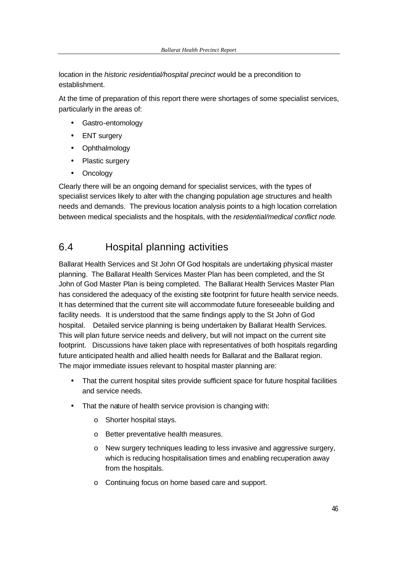location in the *historic residential/hospital precinct* would be a precondition to establishment.

At the time of preparation of this report there were shortages of some specialist services, particularly in the areas of:

- Gastro-entomology
- ENT surgery
- Ophthalmology
- Plastic surgery
- Oncology

Clearly there will be an ongoing demand for specialist services, with the types of specialist services likely to alter with the changing population age structures and health needs and demands. The previous location analysis points to a high location correlation between medical specialists and the hospitals, with the *residential/medical conflict node*.

## 6.4 Hospital planning activities

Ballarat Health Services and St John Of God hospitals are undertaking physical master planning. The Ballarat Health Services Master Plan has been completed, and the St John of God Master Plan is being completed. The Ballarat Health Services Master Plan has considered the adequacy of the existing site footprint for future health service needs. It has determined that the current site will accommodate future foreseeable building and facility needs. It is understood that the same findings apply to the St John of God hospital. Detailed service planning is being undertaken by Ballarat Health Services. This will plan future service needs and delivery, but will not impact on the current site footprint. Discussions have taken place with representatives of both hospitals regarding future anticipated health and allied health needs for Ballarat and the Ballarat region. The major immediate issues relevant to hospital master planning are:

- That the current hospital sites provide sufficient space for future hospital facilities and service needs.
- That the nature of health service provision is changing with:
	- o Shorter hospital stays.
	- o Better preventative health measures.
	- $\circ$  New surgery techniques leading to less invasive and aggressive surgery, which is reducing hospitalisation times and enabling recuperation away from the hospitals.
	- o Continuing focus on home based care and support.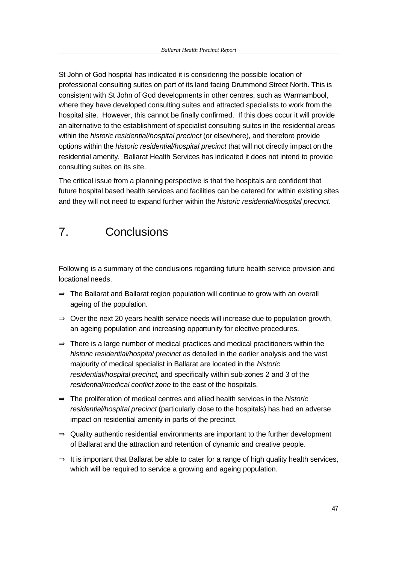St John of God hospital has indicated it is considering the possible location of professional consulting suites on part of its land facing Drummond Street North. This is consistent with St John of God developments in other centres, such as Warrnambool, where they have developed consulting suites and attracted specialists to work from the hospital site. However, this cannot be finally confirmed. If this does occur it will provide an alternative to the establishment of specialist consulting suites in the residential areas within the *historic residential/hospital precinct* (or elsewhere), and therefore provide options within the *historic residential/hospital precinct* that will not directly impact on the residential amenity. Ballarat Health Services has indicated it does not intend to provide consulting suites on its site.

The critical issue from a planning perspective is that the hospitals are confident that future hospital based health services and facilities can be catered for within existing sites and they will not need to expand further within the *historic residential/hospital precinct*.

## 7. Conclusions

Following is a summary of the conclusions regarding future health service provision and locational needs.

- ⇒ The Ballarat and Ballarat region population will continue to grow with an overall ageing of the population.
- $\Rightarrow$  Over the next 20 years health service needs will increase due to population growth, an ageing population and increasing opportunity for elective procedures.
- $\Rightarrow$  There is a large number of medical practices and medical practitioners within the *historic residential/hospital precinct* as detailed in the earlier analysis and the vast majourity of medical specialist in Ballarat are located in the *historic residential/hospital precinct*, and specifically within sub-zones 2 and 3 of the *residential/medical conflict zone* to the east of the hospitals.
- ⇒ The proliferation of medical centres and allied health services in the *historic residential/hospital precinct* (particularly close to the hospitals) has had an adverse impact on residential amenity in parts of the precinct.
- $\Rightarrow$  Quality authentic residential environments are important to the further development of Ballarat and the attraction and retention of dynamic and creative people.
- $\Rightarrow$  It is important that Ballarat be able to cater for a range of high quality health services, which will be required to service a growing and ageing population.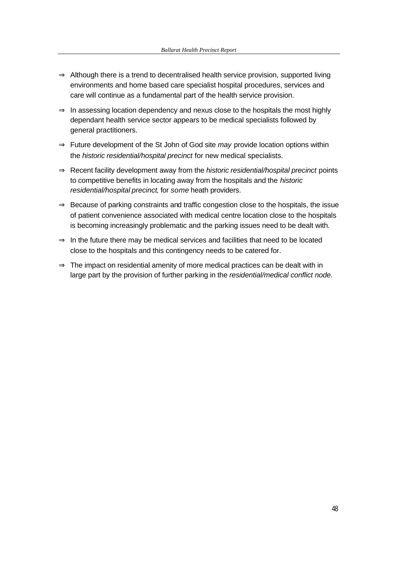- $\Rightarrow$  Although there is a trend to decentralised health service provision, supported living environments and home based care specialist hospital procedures, services and care will continue as a fundamental part of the health service provision.
- $\Rightarrow$  In assessing location dependency and nexus close to the hospitals the most highly dependant health service sector appears to be medical specialists followed by general practitioners.
- ⇒ Future development of the St John of God site *may* provide location options within the *historic residential/hospital precinct* for new medical specialists.
- ⇒ Recent facility development away from the *historic residential/hospital precinct* points to competitive benefits in locating away from the hospitals and the *historic residential/hospital precinct*, for *some* heath providers.
- $\Rightarrow$  Because of parking constraints and traffic congestion close to the hospitals, the issue of patient convenience associated with medical centre location close to the hospitals is becoming increasingly problematic and the parking issues need to be dealt with.
- $\Rightarrow$  In the future there may be medical services and facilities that need to be located close to the hospitals and this contingency needs to be catered for.
- $\Rightarrow$  The impact on residential amenity of more medical practices can be dealt with in large part by the provision of further parking in the *residential/medical conflict node.*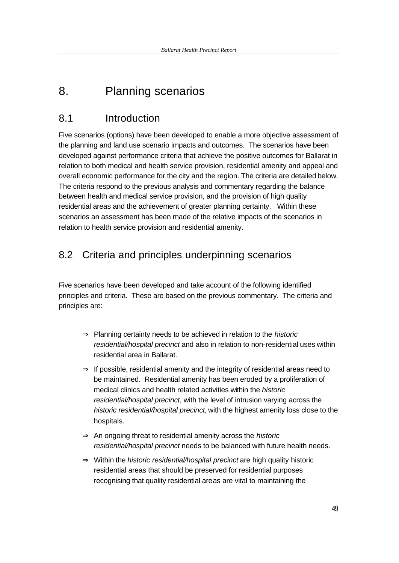## 8. Planning scenarios

## 8.1 Introduction

Five scenarios (options) have been developed to enable a more objective assessment of the planning and land use scenario impacts and outcomes. The scenarios have been developed against performance criteria that achieve the positive outcomes for Ballarat in relation to both medical and health service provision, residential amenity and appeal and overall economic performance for the city and the region. The criteria are detailed below. The criteria respond to the previous analysis and commentary regarding the balance between health and medical service provision, and the provision of high quality residential areas and the achievement of greater planning certainty. Within these scenarios an assessment has been made of the relative impacts of the scenarios in relation to health service provision and residential amenity.

## 8.2 Criteria and principles underpinning scenarios

Five scenarios have been developed and take account of the following identified principles and criteria. These are based on the previous commentary. The criteria and principles are:

- ⇒ Planning certainty needs to be achieved in relation to the *historic residential/hospital precinct* and also in relation to non-residential uses within residential area in Ballarat.
- $\Rightarrow$  If possible, residential amenity and the integrity of residential areas need to be maintained. Residential amenity has been eroded by a proliferation of medical clinics and health related activities within the *historic residential/hospital precinct*, with the level of intrusion varying across the *historic residential/hospital precinct*, with the highest amenity loss close to the hospitals.
- ⇒ An ongoing threat to residential amenity across the *historic residential/hospital precinct* needs to be balanced with future health needs.
- ⇒ Within the *historic residential/hospital precinct* are high quality historic residential areas that should be preserved for residential purposes recognising that quality residential areas are vital to maintaining the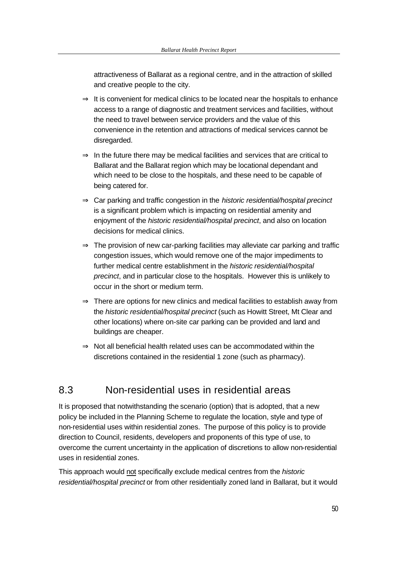attractiveness of Ballarat as a regional centre, and in the attraction of skilled and creative people to the city.

- $\Rightarrow$  It is convenient for medical clinics to be located near the hospitals to enhance access to a range of diagnostic and treatment services and facilities, without the need to travel between service providers and the value of this convenience in the retention and attractions of medical services cannot be disregarded.
- $\Rightarrow$  In the future there may be medical facilities and services that are critical to Ballarat and the Ballarat region which may be locational dependant and which need to be close to the hospitals, and these need to be capable of being catered for.
- ⇒ Car parking and traffic congestion in the *historic residential/hospital precinct*  is a significant problem which is impacting on residential amenity and enjoyment of the *historic residential/hospital precinct*, and also on location decisions for medical clinics.
- $\Rightarrow$  The provision of new car-parking facilities may alleviate car parking and traffic congestion issues, which would remove one of the major impediments to further medical centre establishment in the *historic residential/hospital precinct*, and in particular close to the hospitals. However this is unlikely to occur in the short or medium term.
- $\Rightarrow$  There are options for new clinics and medical facilities to establish away from the *historic residential/hospital precinct* (such as Howitt Street, Mt Clear and other locations) where on-site car parking can be provided and land and buildings are cheaper.
- $\Rightarrow$  Not all beneficial health related uses can be accommodated within the discretions contained in the residential 1 zone (such as pharmacy).

## 8.3 Non-residential uses in residential areas

It is proposed that notwithstanding the scenario (option) that is adopted, that a new policy be included in the Planning Scheme to regulate the location, style and type of non-residential uses within residential zones. The purpose of this policy is to provide direction to Council, residents, developers and proponents of this type of use, to overcome the current uncertainty in the application of discretions to allow non-residential uses in residential zones.

This approach would not specifically exclude medical centres from the *historic residential/hospital precinct* or from other residentially zoned land in Ballarat, but it would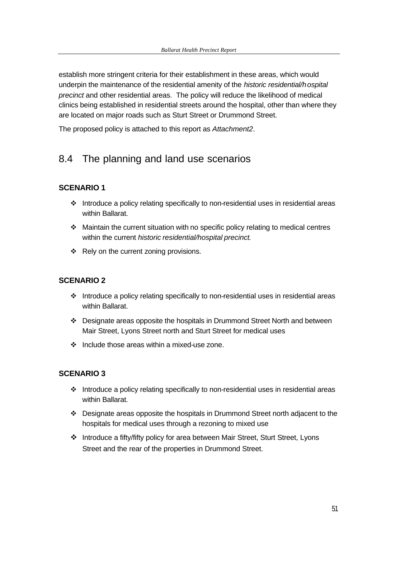establish more stringent criteria for their establishment in these areas, which would underpin the maintenance of the residential amenity of the *historic residential/hospital precinct* and other residential areas. The policy will reduce the likelihood of medical clinics being established in residential streets around the hospital, other than where they are located on major roads such as Sturt Street or Drummond Street.

The proposed policy is attached to this report as *Attachment2*.

## 8.4 The planning and land use scenarios

### **SCENARIO 1**

- $\cdot \cdot$  Introduce a policy relating specifically to non-residential uses in residential areas within Ballarat.
- $\cdot$  Maintain the current situation with no specific policy relating to medical centres within the current *historic residential/hospital precinct*.
- $\div$  Rely on the current zoning provisions.

#### **SCENARIO 2**

- $\cdot$  Introduce a policy relating specifically to non-residential uses in residential areas within Ballarat.
- $\div$  Designate areas opposite the hospitals in Drummond Street North and between Mair Street, Lyons Street north and Sturt Street for medical uses
- $\div$  Include those areas within a mixed-use zone.

### **SCENARIO 3**

- $\cdot$  Introduce a policy relating specifically to non-residential uses in residential areas within Ballarat.
- $\div$  Designate areas opposite the hospitals in Drummond Street north adjacent to the hospitals for medical uses through a rezoning to mixed use
- \* Introduce a fifty/fifty policy for area between Mair Street, Sturt Street, Lyons Street and the rear of the properties in Drummond Street.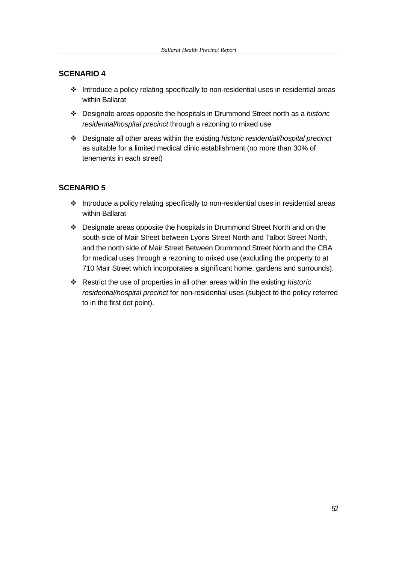#### **SCENARIO 4**

- $\cdot \cdot$  Introduce a policy relating specifically to non-residential uses in residential areas within Ballarat
- v Designate areas opposite the hospitals in Drummond Street north as a *historic residential/hospital precinct* through a rezoning to mixed use
- v Designate all other areas within the existing *historic residential/hospital precinct*  as suitable for a limited medical clinic establishment (no more than 30% of tenements in each street)

### **SCENARIO 5**

- $\cdot$  Introduce a policy relating specifically to non-residential uses in residential areas within Ballarat
- \* Designate areas opposite the hospitals in Drummond Street North and on the south side of Mair Street between Lyons Street North and Talbot Street North, and the north side of Mair Street Between Drummond Street North and the CBA for medical uses through a rezoning to mixed use (excluding the property to at 710 Mair Street which incorporates a significant home, gardens and surrounds).
- v Restrict the use of properties in all other areas within the existing *historic residential/hospital precinct* for non-residential uses (subject to the policy referred to in the first dot point).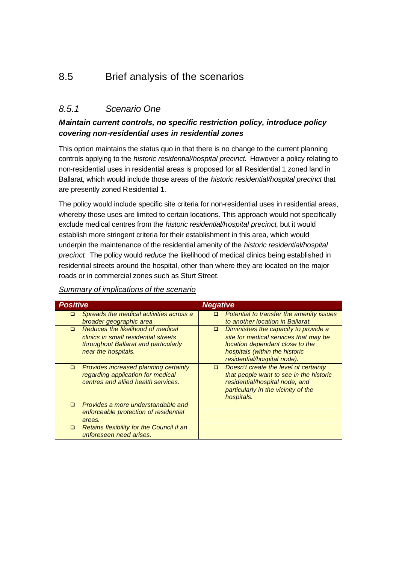## 8.5 Brief analysis of the scenarios

### *8.5.1 Scenario One*

### *Maintain current controls, no specific restriction policy, introduce policy covering non-residential uses in residential zones*

This option maintains the status quo in that there is no change to the current planning controls applying to the *historic residential/hospital precinct*. However a policy relating to non-residential uses in residential areas is proposed for all Residential 1 zoned land in Ballarat, which would include those areas of the *historic residential/hospital precinct* that are presently zoned Residential 1.

The policy would include specific site criteria for non-residential uses in residential areas, whereby those uses are limited to certain locations. This approach would not specifically exclude medical centres from the *historic residential/hospital precinct*, but it would establish more stringent criteria for their establishment in this area, which would underpin the maintenance of the residential amenity of the *historic residential/hospital precinct*. The policy would *reduce* the likelihood of medical clinics being established in residential streets around the hospital, other than where they are located on the major roads or in commercial zones such as Sturt Street.

| <b>Positive</b> |                                                                                                                                          | <b>Negative</b> |                                                                                                                                                                                   |
|-----------------|------------------------------------------------------------------------------------------------------------------------------------------|-----------------|-----------------------------------------------------------------------------------------------------------------------------------------------------------------------------------|
| □               | Spreads the medical activities across a<br>broader geographic area                                                                       | □               | Potential to transfer the amenity issues<br>to another location in Ballarat.                                                                                                      |
| $\Box$          | Reduces the likelihood of medical<br>clinics in small residential streets<br>throughout Ballarat and particularly<br>near the hospitals. | $\Box$          | Diminishes the capacity to provide a<br>site for medical services that may be<br>location dependant close to the<br>hospitals (within the historic<br>residential/hospital node). |
| □               | <b>Provides increased planning certainty</b><br>regarding application for medical<br>centres and allied health services.                 | □               | Doesn't create the level of certainty<br>that people want to see in the historic<br>residential/hospital node, and<br>particularly in the vicinity of the<br>hospitals.           |
| ◻               | Provides a more understandable and<br>enforceable protection of residential<br>areas.                                                    |                 |                                                                                                                                                                                   |
| □               | Retains flexibility for the Council if an<br>unforeseen need arises.                                                                     |                 |                                                                                                                                                                                   |

#### *Summary of implications of the scenario*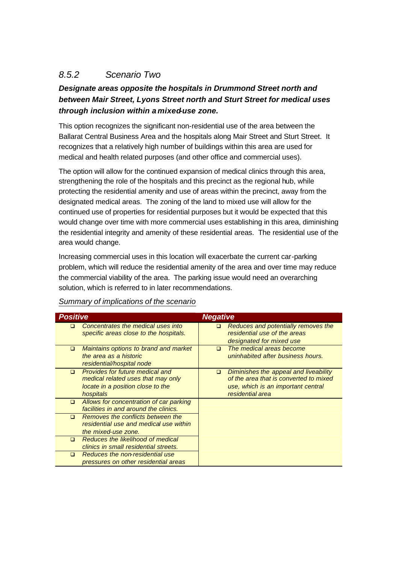## *8.5.2 Scenario Two*

## *Designate areas opposite the hospitals in Drummond Street north and between Mair Street, Lyons Street north and Sturt Street for medical uses through inclusion within a mixed-use zone.*

This option recognizes the significant non-residential use of the area between the Ballarat Central Business Area and the hospitals along Mair Street and Sturt Street. It recognizes that a relatively high number of buildings within this area are used for medical and health related purposes (and other office and commercial uses).

The option will allow for the continued expansion of medical clinics through this area, strengthening the role of the hospitals and this precinct as the regional hub, while protecting the residential amenity and use of areas within the precinct, away from the designated medical areas. The zoning of the land to mixed use will allow for the continued use of properties for residential purposes but it would be expected that this would change over time with more commercial uses establishing in this area, diminishing the residential integrity and amenity of these residential areas. The residential use of the area would change.

Increasing commercial uses in this location will exacerbate the current car-parking problem, which will reduce the residential amenity of the area and over time may reduce the commercial viability of the area. The parking issue would need an overarching solution, which is referred to in later recommendations.

| <b>Positive</b> |                                                                                                                         | <b>Negative</b> |                                                                                                                                           |
|-----------------|-------------------------------------------------------------------------------------------------------------------------|-----------------|-------------------------------------------------------------------------------------------------------------------------------------------|
| $\Box$          | Concentrates the medical uses into<br>specific areas close to the hospitals.                                            | □               | Reduces and potentially removes the<br>residential use of the areas<br>designated for mixed use                                           |
| $\Box$          | Maintains options to brand and market<br>the area as a historic<br>residential/hospital node                            | $\Box$          | The medical areas become<br>uninhabited after business hours.                                                                             |
| $\Box$          | Provides for future medical and<br>medical related uses that may only<br>locate in a position close to the<br>hospitals | $\Box$          | Diminishes the appeal and liveability<br>of the area that is converted to mixed<br>use, which is an important central<br>residential area |
| $\Box$          | Allows for concentration of car parking<br>facilities in and around the clinics.                                        |                 |                                                                                                                                           |
| $\Box$          | Removes the conflicts between the<br>residential use and medical use within<br>the mixed-use zone.                      |                 |                                                                                                                                           |
| $\Box$          | Reduces the likelihood of medical<br>clinics in small residential streets.                                              |                 |                                                                                                                                           |
| $\Box$          | Reduces the non-residential use<br>pressures on other residential areas                                                 |                 |                                                                                                                                           |

*Summary of implications of the scenario*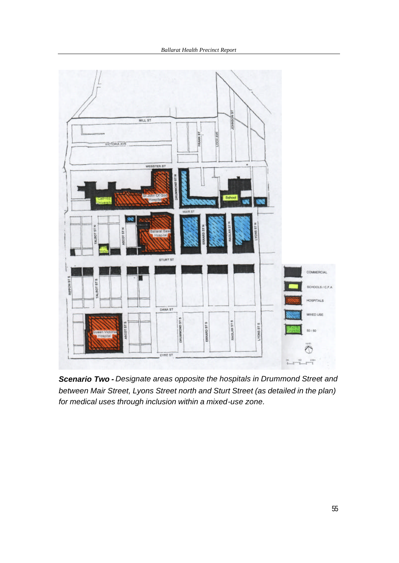

*Scenario Two - Designate areas opposite the hospitals in Drummond Street and between Mair Street, Lyons Street north and Sturt Street (as detailed in the plan) for medical uses through inclusion within a mixed-use zone.*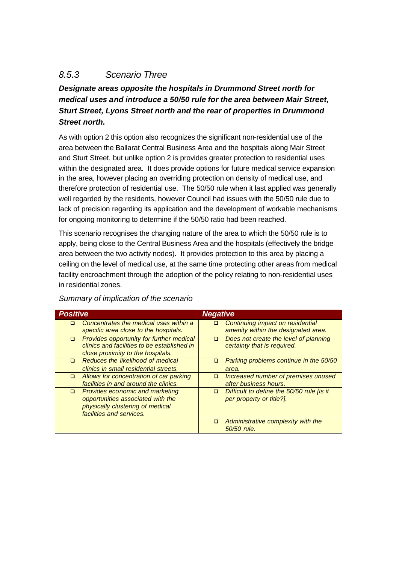## *8.5.3 Scenario Three*

*Designate areas opposite the hospitals in Drummond Street north for medical uses and introduce a 50/50 rule for the area between Mair Street, Sturt Street, Lyons Street north and the rear of properties in Drummond Street north.* 

As with option 2 this option also recognizes the significant non-residential use of the area between the Ballarat Central Business Area and the hospitals along Mair Street and Sturt Street, but unlike option 2 is provides greater protection to residential uses within the designated area. It does provide options for future medical service expansion in the area, however placing an overriding protection on density of medical use, and therefore protection of residential use. The 50/50 rule when it last applied was generally well regarded by the residents, however Council had issues with the 50/50 rule due to lack of precision regarding its application and the development of workable mechanisms for ongoing monitoring to determine if the 50/50 ratio had been reached.

This scenario recognises the changing nature of the area to which the 50/50 rule is to apply, being close to the Central Business Area and the hospitals (effectively the bridge area between the two activity nodes). It provides protection to this area by placing a ceiling on the level of medical use, at the same time protecting other areas from medical facility encroachment through the adoption of the policy relating to non-residential uses in residential zones.

| <b>Positive</b> |                                                                                                                                      | <b>Negative</b> |                                                                         |
|-----------------|--------------------------------------------------------------------------------------------------------------------------------------|-----------------|-------------------------------------------------------------------------|
| □               | Concentrates the medical uses within a<br>specific area close to the hospitals.                                                      | $\Box$          | Continuing impact on residential<br>amenity within the designated area. |
| $\Box$          | <b>Provides opportunity for further medical</b><br>clinics and facilities to be established in<br>close proximity to the hospitals.  | $\Box$          | Does not create the level of planning<br>certainty that is required.    |
| $\Box$          | Reduces the likelihood of medical<br>clinics in small residential streets.                                                           | □               | Parking problems continue in the 50/50<br>area.                         |
| $\Box$          | Allows for concentration of car parking<br>facilities in and around the clinics.                                                     | $\Box$          | Increased number of premises unused<br>after business hours.            |
| $\Box$          | Provides economic and marketing<br>opportunities associated with the<br>physically clustering of medical<br>facilities and services. | $\Box$          | Difficult to define the 50/50 rule lis it<br>per property or title?].   |
|                 |                                                                                                                                      | $\Box$          | Administrative complexity with the<br>50/50 rule.                       |

### *Summary of implication of the scenario*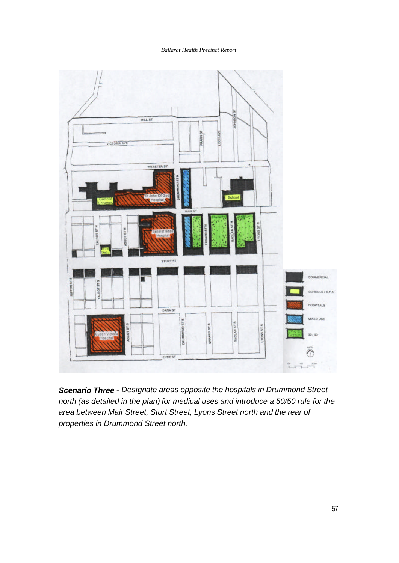

*Scenario Three - Designate areas opposite the hospitals in Drummond Street north (as detailed in the plan) for medical uses and introduce a 50/50 rule for the area between Mair Street, Sturt Street, Lyons Street north and the rear of properties in Drummond Street north.*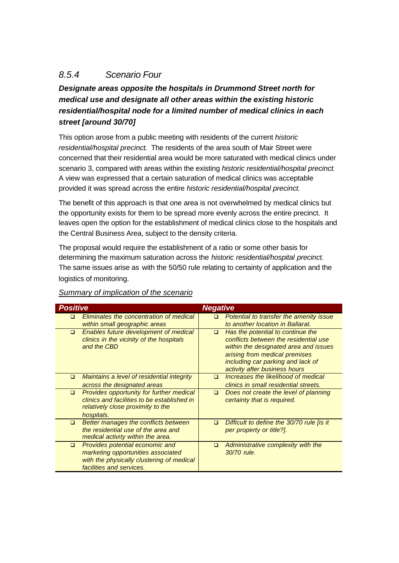## *8.5.4 Scenario Four*

*Designate areas opposite the hospitals in Drummond Street north for medical use and designate all other areas within the existing historic residential/hospital node for a limited number of medical clinics in each street [around 30/70]*

This option arose from a public meeting with residents of the current *historic residential/hospital precinct*. The residents of the area south of Mair Street were concerned that their residential area would be more saturated with medical clinics under scenario 3, compared with areas within the existing *historic residential/hospital precinct*. A view was expressed that a certain saturation of medical clinics was acceptable provided it was spread across the entire *historic residential/hospital precinct*.

The benefit of this approach is that one area is not overwhelmed by medical clinics but the opportunity exists for them to be spread more evenly across the entire precinct. It leaves open the option for the establishment of medical clinics close to the hospitals and the Central Business Area, subject to the density criteria.

The proposal would require the establishment of a ratio or some other basis for determining the maximum saturation across the *historic residential/hospital precinct*. The same issues arise as with the 50/50 rule relating to certainty of application and the logistics of monitoring.

| <b>Positive</b> |                                                                                                                                                | <b>Negative</b> |                                                                                                                                                                                                                            |
|-----------------|------------------------------------------------------------------------------------------------------------------------------------------------|-----------------|----------------------------------------------------------------------------------------------------------------------------------------------------------------------------------------------------------------------------|
| □               | Eliminates the concentration of medical<br>within small geographic areas                                                                       | □               | Potential to transfer the amenity issue<br>to another location in Ballarat.                                                                                                                                                |
| $\Box$          | Enables future development of medical<br>clinics in the vicinity of the hospitals<br>and the CBD                                               | $\Box$          | Has the potential to continue the<br>conflicts between the residential use<br>within the designated area and issues<br>arising from medical premises<br>including car parking and lack of<br>activity after business hours |
| $\Box$          | Maintains a level of residential integrity<br>across the designated areas                                                                      | $\Box$          | Increases the likelihood of medical<br>clinics in small residential streets.                                                                                                                                               |
| $\Box$          | Provides opportunity for further medical<br>clinics and facilities to be established in<br>relatively close proximity to the<br>hospitals.     | $\Box$          | Does not create the level of planning<br>certainty that is required.                                                                                                                                                       |
| $\Box$          | Better manages the conflicts between<br>the residential use of the area and<br>medical activity within the area.                               | ◻               | Difficult to define the 30/70 rule [is it]<br>per property or title?].                                                                                                                                                     |
| $\Box$          | Provides potential economic and<br>marketing opportunities associated<br>with the physically clustering of medical<br>facilities and services. | □               | Administrative complexity with the<br>30/70 rule.                                                                                                                                                                          |

### *Summary of implication of the scenario*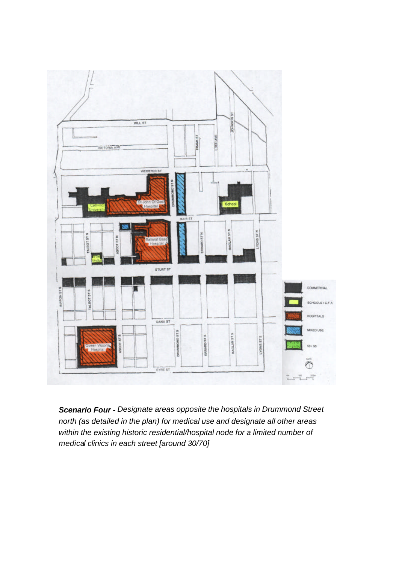

*Scenario Four - Designate areas opposite the hospitals in Drummond Street north (as detailed in the plan) for medical use and designate all other areas within the existing historic residential/hospital node for a limited number of medical clinics in each street [around 30/70]*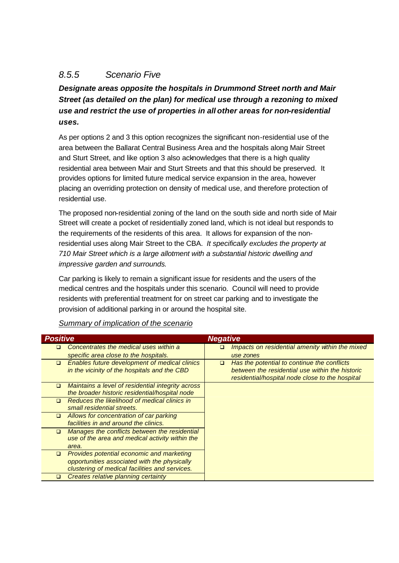## *8.5.5 Scenario Five*

*Designate areas opposite the hospitals in Drummond Street north and Mair Street (as detailed on the plan) for medical use through a rezoning to mixed use and restrict the use of properties in all other areas for non-residential uses.*

As per options 2 and 3 this option recognizes the significant non-residential use of the area between the Ballarat Central Business Area and the hospitals along Mair Street and Sturt Street, and like option 3 also acknowledges that there is a high quality residential area between Mair and Sturt Streets and that this should be preserved. It provides options for limited future medical service expansion in the area, however placing an overriding protection on density of medical use, and therefore protection of residential use.

The proposed non-residential zoning of the land on the south side and north side of Mair Street will create a pocket of residentially zoned land, which is not ideal but responds to the requirements of the residents of this area. It allows for expansion of the nonresidential uses along Mair Street to the CBA. *It specifically excludes the property at 710 Mair Street which is a large allotment with a substantial historic dwelling and impressive garden and surrounds.* 

Car parking is likely to remain a significant issue for residents and the users of the medical centres and the hospitals under this scenario. Council will need to provide residents with preferential treatment for on street car parking and to investigate the provision of additional parking in or around the hospital site.

| <b>Positive</b> |                                                                                                     | <b>Negative</b> |                                                                                                    |  |
|-----------------|-----------------------------------------------------------------------------------------------------|-----------------|----------------------------------------------------------------------------------------------------|--|
| □               | Concentrates the medical uses within a                                                              | □               | Impacts on residential amenity within the mixed                                                    |  |
|                 | specific area close to the hospitals.                                                               |                 | use zones                                                                                          |  |
| $\Box$          | <b>Enables future development of medical clinics</b>                                                | $\Box$          | Has the potential to continue the conflicts                                                        |  |
|                 | in the vicinity of the hospitals and the CBD                                                        |                 | between the residential use within the historic<br>residential/hospital node close to the hospital |  |
| $\Box$          | Maintains a level of residential integrity across<br>the broader historic residential/hospital node |                 |                                                                                                    |  |
| ◻               | Reduces the likelihood of medical clinics in<br>small residential streets.                          |                 |                                                                                                    |  |
| □               | Allows for concentration of car parking                                                             |                 |                                                                                                    |  |
|                 | facilities in and around the clinics.                                                               |                 |                                                                                                    |  |
| □               | Manages the conflicts between the residential                                                       |                 |                                                                                                    |  |
|                 | use of the area and medical activity within the                                                     |                 |                                                                                                    |  |
|                 | area.                                                                                               |                 |                                                                                                    |  |
| o               | Provides potential economic and marketing                                                           |                 |                                                                                                    |  |
|                 | opportunities associated with the physically                                                        |                 |                                                                                                    |  |
|                 | clustering of medical facilities and services.                                                      |                 |                                                                                                    |  |
| o               | Creates relative planning certainty                                                                 |                 |                                                                                                    |  |

#### *Summary of implication of the scenario*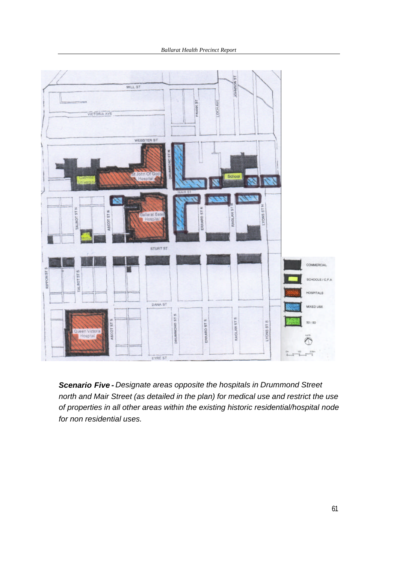*Ballarat Health Precinct Report* 



*Scenario Five - Designate areas opposite the hospitals in Drummond Street north and Mair Street (as detailed in the plan) for medical use and restrict the use of properties in all other areas within the existing historic residential/hospital node for non residential uses.*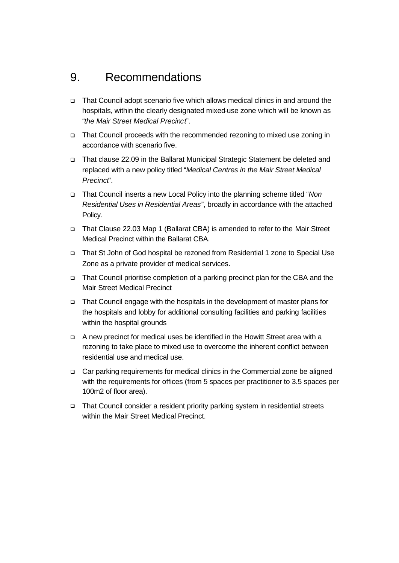## 9. Recommendations

- q That Council adopt scenario five which allows medical clinics in and around the hospitals, within the clearly designated mixed-use zone which will be known as "*the Mair Street Medical Precinct*".
- □ That Council proceeds with the recommended rezoning to mixed use zoning in accordance with scenario five.
- q That clause 22.09 in the Ballarat Municipal Strategic Statement be deleted and replaced with a new policy titled "*Medical Centres in the Mair Street Medical Precinct*".
- q That Council inserts a new Local Policy into the planning scheme titled "*Non Residential Uses in Residential Areas*", broadly in accordance with the attached Policy.
- q That Clause 22.03 Map 1 (Ballarat CBA) is amended to refer to the Mair Street Medical Precinct within the Ballarat CBA.
- q That St John of God hospital be rezoned from Residential 1 zone to Special Use Zone as a private provider of medical services.
- q That Council prioritise completion of a parking precinct plan for the CBA and the Mair Street Medical Precinct
- q That Council engage with the hospitals in the development of master plans for the hospitals and lobby for additional consulting facilities and parking facilities within the hospital grounds
- q A new precinct for medical uses be identified in the Howitt Street area with a rezoning to take place to mixed use to overcome the inherent conflict between residential use and medical use.
- □ Car parking requirements for medical clinics in the Commercial zone be aligned with the requirements for offices (from 5 spaces per practitioner to 3.5 spaces per 100m2 of floor area).
- □ That Council consider a resident priority parking system in residential streets within the Mair Street Medical Precinct.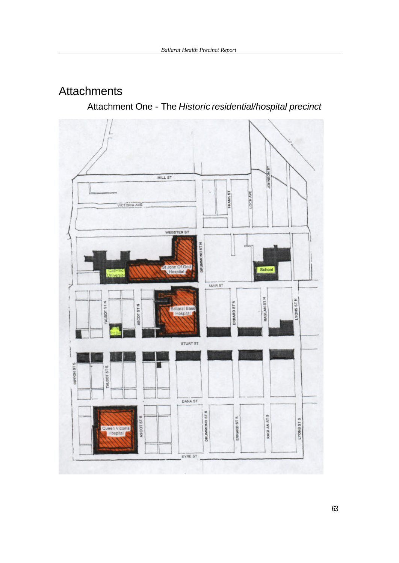## **Attachments**

Attachment One - The *Historic residential/hospital precinct* 

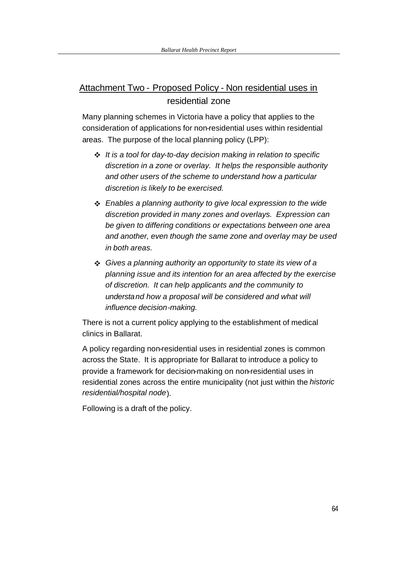## Attachment Two - Proposed Policy - Non residential uses in residential zone

Many planning schemes in Victoria have a policy that applies to the consideration of applications for non-residential uses within residential areas. The purpose of the local planning policy (LPP):

- v *It is a tool for day-to-day decision making in relation to specific discretion in a zone or overlay. It helps the responsible authority and other users of the scheme to understand how a particular discretion is likely to be exercised.*
- v *Enables a planning authority to give local expression to the wide discretion provided in many zones and overlays. Expression can be given to differing conditions or expectations between one area and another, even though the same zone and overlay may be used in both areas.*
- v *Gives a planning authority an opportunity to state its view of a planning issue and its intention for an area affected by the exercise of discretion. It can help applicants and the community to understand how a proposal will be considered and what will influence decision-making.*

There is not a current policy applying to the establishment of medical clinics in Ballarat.

A policy regarding non-residential uses in residential zones is common across the State. It is appropriate for Ballarat to introduce a policy to provide a framework for decision-making on non-residential uses in residential zones across the entire municipality (not just within the *historic residential/hospital node*).

Following is a draft of the policy.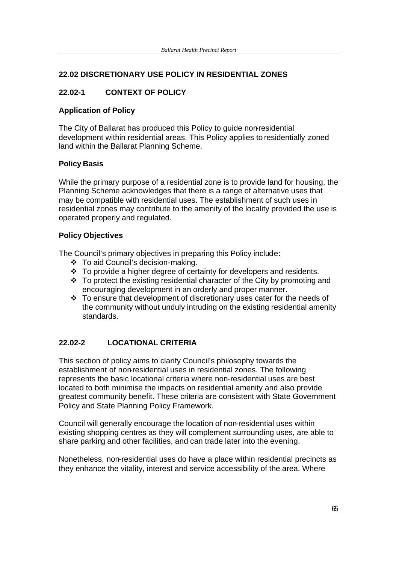### **22.02 DISCRETIONARY USE POLICY IN RESIDENTIAL ZONES**

### **22.02-1 CONTEXT OF POLICY**

#### **Application of Policy**

The City of Ballarat has produced this Policy to guide non-residential development within residential areas. This Policy applies to residentially zoned land within the Ballarat Planning Scheme.

#### **Policy Basis**

While the primary purpose of a residential zone is to provide land for housing, the Planning Scheme acknowledges that there is a range of alternative uses that may be compatible with residential uses. The establishment of such uses in residential zones may contribute to the amenity of the locality provided the use is operated properly and regulated.

#### **Policy Objectives**

The Council's primary objectives in preparing this Policy include:

- v To aid Council's decision-making.
- $\cdot$  To provide a higher degree of certainty for developers and residents.
- $\cdot$  To protect the existing residential character of the City by promoting and encouraging development in an orderly and proper manner.
- v To ensure that development of discretionary uses cater for the needs of the community without unduly intruding on the existing residential amenity standards.

### **22.02-2 LOCATIONAL CRITERIA**

This section of policy aims to clarify Council's philosophy towards the establishment of non-residential uses in residential zones. The following represents the basic locational criteria where non-residential uses are best located to both minimise the impacts on residential amenity and also provide greatest community benefit. These criteria are consistent with State Government Policy and State Planning Policy Framework.

Council will generally encourage the location of non-residential uses within existing shopping centres as they will complement surrounding uses, are able to share parking and other facilities, and can trade later into the evening.

Nonetheless, non-residential uses do have a place within residential precincts as they enhance the vitality, interest and service accessibility of the area. Where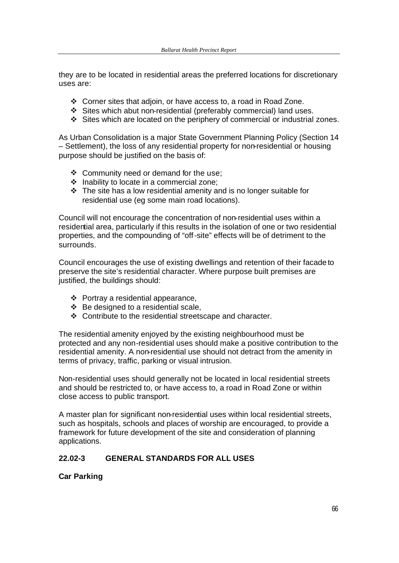they are to be located in residential areas the preferred locations for discretionary uses are:

- $\div$  Corner sites that adjoin, or have access to, a road in Road Zone.
- v Sites which abut non-residential (preferably commercial) land uses.
- v Sites which are located on the periphery of commercial or industrial zones.

As Urban Consolidation is a major State Government Planning Policy (Section 14 – Settlement), the loss of any residential property for non-residential or housing purpose should be justified on the basis of:

- $\div$  Community need or demand for the use;
- $\div$  Inability to locate in a commercial zone;
- $\cdot \cdot$  The site has a low residential amenity and is no longer suitable for residential use (eg some main road locations).

Council will not encourage the concentration of non-residential uses within a residential area, particularly if this results in the isolation of one or two residential properties, and the compounding of "off-site" effects will be of detriment to the surrounds.

Council encourages the use of existing dwellings and retention of their facade to preserve the site's residential character. Where purpose built premises are justified, the buildings should:

- $\div$  Portray a residential appearance,
- $\div$  Be designed to a residential scale,
- $\div$  Contribute to the residential streetscape and character.

The residential amenity enjoyed by the existing neighbourhood must be protected and any non-residential uses should make a positive contribution to the residential amenity. A non-residential use should not detract from the amenity in terms of privacy, traffic, parking or visual intrusion.

Non-residential uses should generally not be located in local residential streets and should be restricted to, or have access to, a road in Road Zone or within close access to public transport.

A master plan for significant non-residential uses within local residential streets, such as hospitals, schools and places of worship are encouraged, to provide a framework for future development of the site and consideration of planning applications.

### **22.02-3 GENERAL STANDARDS FOR ALL USES**

### **Car Parking**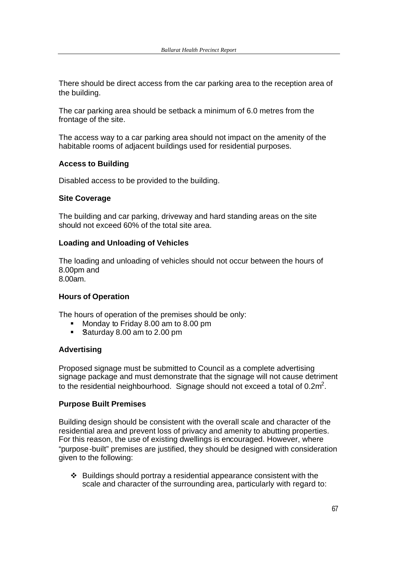There should be direct access from the car parking area to the reception area of the building.

The car parking area should be setback a minimum of 6.0 metres from the frontage of the site.

The access way to a car parking area should not impact on the amenity of the habitable rooms of adjacent buildings used for residential purposes.

#### **Access to Building**

Disabled access to be provided to the building.

#### **Site Coverage**

The building and car parking, driveway and hard standing areas on the site should not exceed 60% of the total site area.

#### **Loading and Unloading of Vehicles**

The loading and unloading of vehicles should not occur between the hours of 8.00pm and 8.00am.

## **Hours of Operation**

The hours of operation of the premises should be only:

- ß Monday to Friday 8.00 am to 8.00 pm
- **Baturday 8.00 am to 2.00 pm**

### **Advertising**

Proposed signage must be submitted to Council as a complete advertising signage package and must demonstrate that the signage will not cause detriment to the residential neighbourhood. Signage should not exceed a total of 0.2 $m^2$ .

#### **Purpose Built Premises**

Building design should be consistent with the overall scale and character of the residential area and prevent loss of privacy and amenity to abutting properties. For this reason, the use of existing dwellings is encouraged. However, where "purpose-built" premises are justified, they should be designed with consideration given to the following:

 $\div$  Buildings should portray a residential appearance consistent with the scale and character of the surrounding area, particularly with regard to: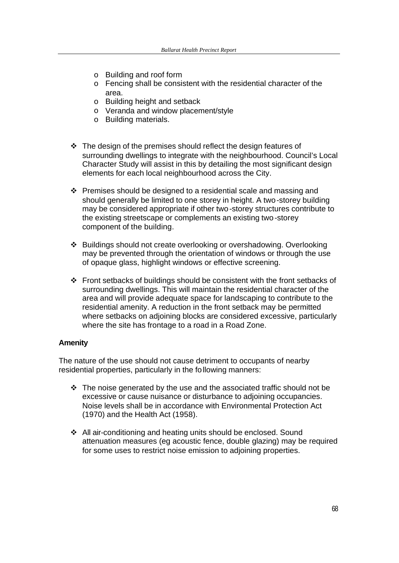- o Building and roof form
- o Fencing shall be consistent with the residential character of the area.
- o Building height and setback
- o Veranda and window placement/style
- o Building materials.
- $\cdot$  The design of the premises should reflect the design features of surrounding dwellings to integrate with the neighbourhood. Council's Local Character Study will assist in this by detailing the most significant design elements for each local neighbourhood across the City.
- $\div$  Premises should be designed to a residential scale and massing and should generally be limited to one storey in height. A two-storey building may be considered appropriate if other two-storey structures contribute to the existing streetscape or complements an existing two-storey component of the building.
- v Buildings should not create overlooking or overshadowing. Overlooking may be prevented through the orientation of windows or through the use of opaque glass, highlight windows or effective screening.
- $\cdot \cdot$  Front setbacks of buildings should be consistent with the front setbacks of surrounding dwellings. This will maintain the residential character of the area and will provide adequate space for landscaping to contribute to the residential amenity. A reduction in the front setback may be permitted where setbacks on adjoining blocks are considered excessive, particularly where the site has frontage to a road in a Road Zone.

### **Amenity**

The nature of the use should not cause detriment to occupants of nearby residential properties, particularly in the following manners:

- $\cdot \cdot$  The noise generated by the use and the associated traffic should not be excessive or cause nuisance or disturbance to adjoining occupancies. Noise levels shall be in accordance with Environmental Protection Act (1970) and the Health Act (1958).
- ❖ All air-conditioning and heating units should be enclosed. Sound attenuation measures (eg acoustic fence, double glazing) may be required for some uses to restrict noise emission to adjoining properties.